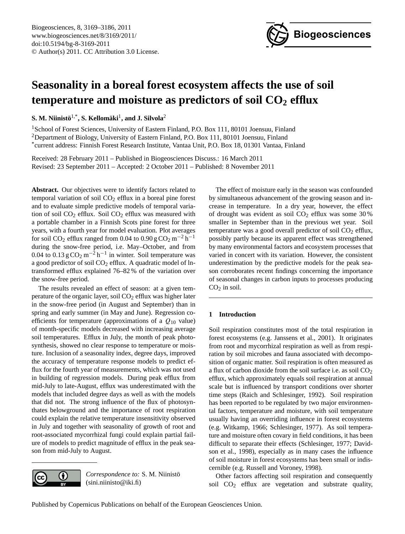

# <span id="page-0-0"></span>**Seasonality in a boreal forest ecosystem affects the use of soil temperature and moisture as predictors of soil CO<sup>2</sup> efflux**

 ${\bf S}.$  M. Niinistö $^{1,*}, {\bf S}.$  Kellomäki $^1,$  and J. Silvola $^2$ 

<sup>1</sup>School of Forest Sciences, University of Eastern Finland, P.O. Box 111, 80101 Joensuu, Finland <sup>2</sup>Department of Biology, University of Eastern Finland, P.O. Box 111, 80101 Joensuu, Finland \* current address: Finnish Forest Research Institute, Vantaa Unit, P.O. Box 18, 01301 Vantaa, Finland

Received: 28 February 2011 – Published in Biogeosciences Discuss.: 16 March 2011 Revised: 23 September 2011 – Accepted: 2 October 2011 – Published: 8 November 2011

**Abstract.** Our objectives were to identify factors related to temporal variation of soil  $CO<sub>2</sub>$  efflux in a boreal pine forest and to evaluate simple predictive models of temporal variation of soil  $CO<sub>2</sub>$  efflux. Soil  $CO<sub>2</sub>$  efflux was measured with a portable chamber in a Finnish Scots pine forest for three years, with a fourth year for model evaluation. Plot averages for soil CO<sub>2</sub> efflux ranged from 0.04 to 0.90 g CO<sub>2</sub> m<sup>-2</sup> h<sup>-1</sup> during the snow-free period, i.e. May–October, and from 0.04 to 0.13 g  $CO_2 m^{-2} h^{-1}$  in winter. Soil temperature was a good predictor of soil  $CO<sub>2</sub>$  efflux. A quadratic model of lntransformed efflux explained 76–82 % of the variation over the snow-free period.

The results revealed an effect of season: at a given temperature of the organic layer, soil  $CO<sub>2</sub>$  efflux was higher later in the snow-free period (in August and September) than in spring and early summer (in May and June). Regression coefficients for temperature (approximations of a  $Q_{10}$  value) of month-specific models decreased with increasing average soil temperatures. Efflux in July, the month of peak photosynthesis, showed no clear response to temperature or moisture. Inclusion of a seasonality index, degree days, improved the accuracy of temperature response models to predict efflux for the fourth year of measurements, which was not used in building of regression models. During peak efflux from mid-July to late-August, efflux was underestimated with the models that included degree days as well as with the models that did not. The strong influence of the flux of photosynthates belowground and the importance of root respiration could explain the relative temperature insensitivity observed in July and together with seasonality of growth of root and root-associated mycorrhizal fungi could explain partial failure of models to predict magnitude of efflux in the peak season from mid-July to August.



*Correspondence to:* S. M. Niinistö (sini.niinisto@iki.fi)

The effect of moisture early in the season was confounded by simultaneous advancement of the growing season and increase in temperature. In a dry year, however, the effect of drought was evident as soil  $CO<sub>2</sub>$  efflux was some 30% smaller in September than in the previous wet year. Soil temperature was a good overall predictor of soil  $CO<sub>2</sub>$  efflux, possibly partly because its apparent effect was strengthened by many environmental factors and ecosystem processes that varied in concert with its variation. However, the consistent underestimation by the predictive models for the peak season corroborates recent findings concerning the importance of seasonal changes in carbon inputs to processes producing  $CO<sub>2</sub>$  in soil.

## **1 Introduction**

Soil respiration constitutes most of the total respiration in forest ecosystems (e.g. Janssens et al., 2001). It originates from root and mycorrhizal respiration as well as from respiration by soil microbes and fauna associated with decomposition of organic matter. Soil respiration is often measured as a flux of carbon dioxide from the soil surface i.e. as soil  $CO<sub>2</sub>$ efflux, which approximately equals soil respiration at annual scale but is influenced by transport conditions over shorter time steps (Raich and Schlesinger, 1992). Soil respiration has been reported to be regulated by two major environmental factors, temperature and moisture, with soil temperature usually having an overriding influence in forest ecosystems (e.g. Witkamp, 1966; Schlesinger, 1977). As soil temperature and moisture often covary in field conditions, it has been difficult to separate their effects (Schlesinger, 1977; Davidson et al., 1998), especially as in many cases the influence of soil moisture in forest ecosystems has been small or indiscernible (e.g. Russell and Voroney, 1998).

Other factors affecting soil respiration and consequently soil CO<sub>2</sub> efflux are vegetation and substrate quality,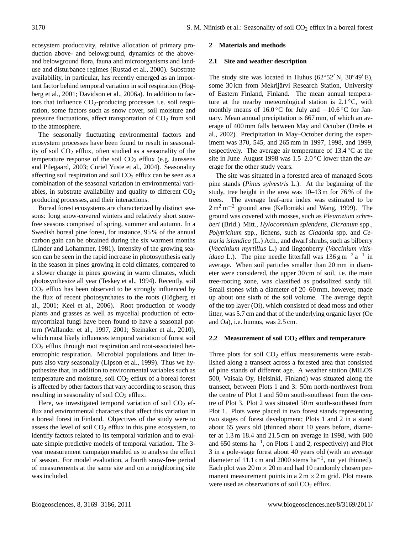ecosystem productivity, relative allocation of primary production above- and belowground, dynamics of the aboveand belowground flora, fauna and microorganisms and landuse and disturbance regimes (Rustad et al., 2000). Substrate availability, in particular, has recently emerged as an important factor behind temporal variation in soil respiration (Högberg et al., 2001; Davidson et al., 2006a). In addition to factors that influence  $CO_2$ -producing processes i.e. soil respiration, some factors such as snow cover, soil moisture and pressure fluctuations, affect transportation of  $CO<sub>2</sub>$  from soil to the atmosphere.

The seasonally fluctuating environmental factors and ecosystem processes have been found to result in seasonality of soil  $CO<sub>2</sub>$  efflux, often studied as a seasonality of the temperature response of the soil  $CO<sub>2</sub>$  efflux (e.g. Janssens and Pilegaard, 2003; Curiel Yuste et al., 2004). Seasonality affecting soil respiration and soil  $CO<sub>2</sub>$  efflux can be seen as a combination of the seasonal variation in environmental variables, in substrate availability and quality to different  $CO<sub>2</sub>$ producing processes, and their interactions.

Boreal forest ecosystems are characterized by distinct seasons: long snow-covered winters and relatively short snowfree seasons comprised of spring, summer and autumn. In a Swedish boreal pine forest, for instance, 95 % of the annual carbon gain can be obtained during the six warmest months (Linder and Lohammer, 1981). Intensity of the growing season can be seen in the rapid increase in photosynthesis early in the season in pines growing in cold climates, compared to a slower change in pines growing in warm climates, which photosynthesize all year (Teskey et al., 1994). Recently, soil  $CO<sub>2</sub>$  efflux has been observed to be strongly influenced by the flux of recent photosynthates to the roots (Högberg et al., 2001; Keel et al., 2006). Root production of woody plants and grasses as well as mycelial production of ectomycorrhizal fungi have been found to have a seasonal pattern (Wallander et al., 1997, 2001; Steinaker et al., 2010), which most likely influences temporal variation of forest soil  $CO<sub>2</sub>$  efflux through root respiration and root-associated heterotrophic respiration. Microbial populations and litter inputs also vary seasonally (Lipson et al., 1999). Thus we hypothesize that, in addition to environmental variables such as temperature and moisture, soil  $CO<sub>2</sub>$  efflux of a boreal forest is affected by other factors that vary according to season, thus resulting in seasonality of soil  $CO<sub>2</sub>$  efflux.

Here, we investigated temporal variation of soil  $CO<sub>2</sub>$  efflux and environmental characters that affect this variation in a boreal forest in Finland. Objectives of the study were to assess the level of soil  $CO<sub>2</sub>$  efflux in this pine ecosystem, to identify factors related to its temporal variation and to evaluate simple predictive models of temporal variation. The 3 year measurement campaign enabled us to analyse the effect of season. For model evaluation, a fourth snow-free period of measurements at the same site and on a neighboring site was included.

#### **2 Materials and methods**

#### **2.1 Site and weather description**

The study site was located in Huhus ( $62°52'$  N,  $30°49'E$ ), some 30 km from Mekrijärvi Research Station, University of Eastern Finland, Finland. The mean annual temperature at the nearby meteorological station is  $2.1\degree C$ , with monthly means of 16.0 °C for July and  $-10.6$  °C for January. Mean annual precipitation is 667 mm, of which an average of 400 mm falls between May and October (Drebs et al., 2002). Precipitation in May–October during the experiment was 370, 545, and 265 mm in 1997, 1998, and 1999, respectively. The average air temperature of 13.4 ◦C at the site in June–August 1998 was 1.5–2.0 ◦C lower than the average for the other study years.

The site was situated in a forested area of managed Scots pine stands (*Pinus sylvestris* L.). At the beginning of the study, tree height in the area was 10–13 m for 76 % of the trees. The average leaf-area index was estimated to be  $2 m<sup>2</sup> m<sup>-2</sup>$  ground area (Kellomäki and Wang, 1999). The ground was covered with mosses, such as *Pleurozium schreberi* (Brid.) Mitt., *Hylocomnium splendens*, *Dicranum* spp., *Polytrichum* spp., lichens, such as *Cladonia* spp. and *Cetraria islandica* (L.) Ach., and dwarf shrubs, such as bilberry (*Vaccinium myrtillus* L.) and lingonberry (*Vaccinium vitisidaea* L.). The pine needle litterfall was  $136 \text{ g m}^{-2} \text{ a}^{-1}$  in average. When soil particles smaller than 20 mm in diameter were considered, the upper 30 cm of soil, i.e. the main tree-rooting zone, was classified as podsolized sandy till. Small stones with a diameter of 20–60 mm, however, made up about one sixth of the soil volume. The average depth of the top layer (Oi), which consisted of dead moss and other litter, was 5.7 cm and that of the underlying organic layer (Oe and Oa), i.e. humus, was 2.5 cm.

## **2.2 Measurement of soil CO<sup>2</sup> efflux and temperature**

Three plots for soil  $CO<sub>2</sub>$  efflux measurements were established along a transect across a forested area that consisted of pine stands of different age. A weather station (MILOS 500, Vaisala Oy, Helsinki, Finland) was situated along the transect, between Plots 1 and 3: 50m north-northwest from the centre of Plot 1 and 50 m south-southeast from the centre of Plot 3. Plot 2 was situated 50 m south-southeast from Plot 1. Plots were placed in two forest stands representing two stages of forest development; Plots 1 and 2 in a stand about 65 years old (thinned about 10 years before, diameter at 1.3 m 18.4 and 21.5 cm on average in 1998, with 600 and 650 stems ha−<sup>1</sup> , on Plots 1 and 2, respectively) and Plot 3 in a pole-stage forest about 40 years old (with an average diameter of 11.1 cm and 2000 stems ha−<sup>1</sup> , not yet thinned). Each plot was  $20 \text{ m} \times 20 \text{ m}$  and had 10 randomly chosen permanent measurement points in a  $2 \text{ m} \times 2 \text{ m}$  grid. Plot means were used as observations of soil  $CO<sub>2</sub>$  efflux.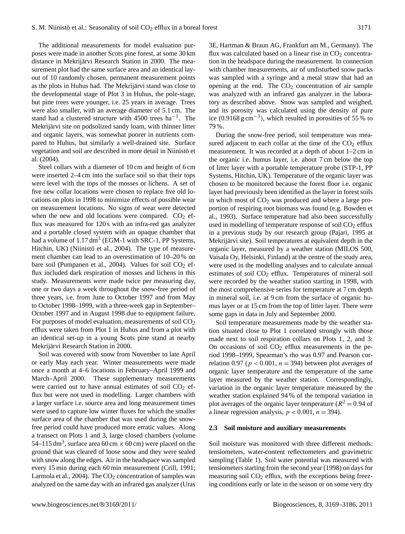The additional measurements for model evaluation purposes were made in another Scots pine forest, at some 30 km distance in Mekrijärvi Research Station in 2000. The measurement plot had the same surface area and an identical layout of 10 randomly chosen, permanent measurement points as the plots in Huhus had. The Mekrijärvi stand was close to the developmental stage of Plot 3 in Huhus, the pole-stage, but pine trees were younger, i.e. 25 years in average. Trees were also smaller, with an average diameter of 5.1 cm. The stand had a clustered structure with 4500 trees ha<sup>-1</sup>. The Mekrijärvi site on podsolized sandy loam, with thinner litter and organic layers, was somewhat poorer in nutrients compared to Huhus, but similarly a well-drained site. Surface vegetation and soil are described in more detail in Niinistö et al. (2004).

Steel collars with a diameter of 10 cm and height of 6 cm were inserted 2–4 cm into the surface soil so that their tops were level with the tops of the mosses or lichens. A set of five new collar locations were chosen to replace five old locations on plots in 1998 to minimize effects of possible wear on measurement locations. No signs of wear were detected when the new and old locations were compared.  $CO<sub>2</sub>$  efflux was measured for 120 s with an infra-red gas analyzer and a portable closed system with an opaque chamber that had a volume of  $1.17 \text{ dm}^3$  (EGM-1 with SRC-1, PP Systems, Hitchin, UK) (Niinistö et al., 2004). The type of measurement chamber can lead to an overestimation of 10–20 % on bare soil (Pumpanen et al., 2004). Values for soil  $CO<sub>2</sub>$  efflux included dark respiration of mosses and lichens in this study. Measurements were made twice per measuring day, one or two days a week throughout the snow-free period of three years, i.e. from June to October 1997 and from May to October 1998–1999, with a three-week gap in September– October 1997 and in August 1998 due to equipment failure. For purposes of model evaluation, measurements of soil  $CO<sub>2</sub>$ efflux were taken from Plot 1 in Huhus and from a plot with an identical set-up in a young Scots pine stand at nearby Mekrijärvi Research Station in 2000.

Soil was covered with snow from November to late April or early May each year. Winter measurements were made once a month at 4–6 locations in February–April 1999 and March–April 2000. These supplementary measurements were carried out to have annual estimates of soil  $CO<sub>2</sub>$  efflux but were not used in modelling. Larger chambers with a larger surface i.e. source area and long measurement times were used to capture low winter fluxes for which the smaller surface area of the chamber that was used during the snowfree period could have produced more erratic values. Along a transect on Plots 1 and 3, large closed chambers (volume 54–115 dm<sup>3</sup>, surface area 60 cm  $\times$  60 cm) were placed on the ground that was cleared of loose snow and they were sealed with snow along the edges. Air in the headspace was sampled every 15 min during each 60 min measurement (Crill, 1991; Larmola et al., 2004). The  $CO<sub>2</sub>$  concentration of samples was analyzed on the same day with an infrared gas analyzer (Uras

3E, Hartman & Braun AG, Frankfurt am M., Germany). The flux was calculated based on a linear rise in  $CO<sub>2</sub>$  concentration in the headspace during the measurement. In connection with chamber measurements, air of undisturbed snow packs was sampled with a syringe and a metal straw that had an opening at the end. The  $CO<sub>2</sub>$  concentration of air sample was analyzed with an infrared gas analyzer in the laboratory as described above. Snow was sampled and weighed, and its porosity was calculated using the density of pure ice (0.9168  $g \text{ cm}^{-3}$ ), which resulted in porosities of 55 % to 79 %.

During the snow-free period, soil temperature was measured adjacent to each collar at the time of the  $CO<sub>2</sub>$  efflux measurement. It was recorded at a depth of about 1–2 cm in the organic i.e. humus layer, i.e. about 7 cm below the top of litter layer with a portable temperature probe (STP-1, PP Systems, Hitchin, UK). Temperature of the organic layer was chosen to be monitored because the forest floor i.e. organic layer had previously been identified as the layer in forest soils in which most of  $CO<sub>2</sub>$  was produced and where a large proportion of respiring root biomass was found (e.g. Bowden et al., 1993). Surface temperature had also been successfully used in modelling of temperature response of soil  $CO<sub>2</sub>$  efflux in a previous study by our research group (Pajari, 1995 at Mekrijärvi site). Soil temperatures at equivalent depth in the organic layer, measured by a weather station (MILOS 500, Vaisala Oy, Helsinki, Finland) at the centre of the study area, were used in the modelling analyses and to calculate annual estimates of soil  $CO<sub>2</sub>$  efflux. Temperatures of mineral soil were recorded by the weather station starting in 1998, with the most comprehensive series for temperature at 7 cm depth in mineral soil, i.e. at 9 cm from the surface of organic humus layer or at 15 cm from the top of litter layer. There were some gaps in data in July and September 2000.

Soil temperature measurements made by the weather station situated close to Plot 1 correlated strongly with those made next to soil respiration collars on Plots 1, 2, and 3: On occasions of soil  $CO<sub>2</sub>$  efflux measurements in the period 1998–1999, Spearman's rho was 0.97 and Pearson correlation 0.97 ( $p < 0.001$ ,  $n = 394$ ) between plot averages of organic layer temperature and the temperature of the same layer measured by the weather station. Correspondingly, variation in the organic layer temperature measured by the weather station explained 94 % of the temporal variation in plot averages of the organic layer temperature ( $R^2 = 0.94$  of a linear regression analysis,  $p < 0.001$ ,  $n = 394$ ).

#### **2.3 Soil moisture and auxiliary measurements**

Soil moisture was monitored with three different methods: tensiometers, water-content reflectometers and gravimetric sampling (Table 1). Soil water potential was measured with tensiometers starting from the second year (1998) on days for measuring soil  $CO<sub>2</sub>$  efflux, with the exceptions being freezing conditions early or late in the season or on some very dry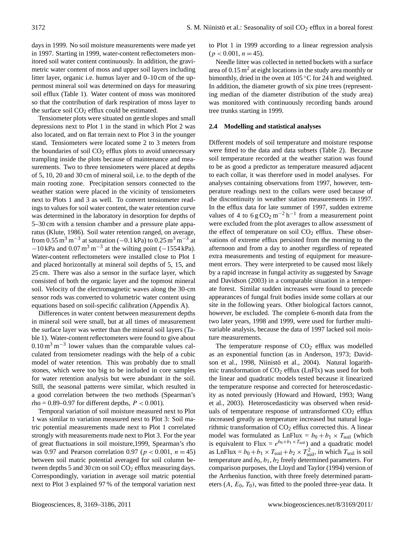days in 1999. No soil moisture measurements were made yet in 1997. Starting in 1999, water-content reflectometers monitored soil water content continuously. In addition, the gravimetric water content of moss and upper soil layers including litter layer, organic i.e. humus layer and 0–10 cm of the uppermost mineral soil was determined on days for measuring soil efflux (Table 1). Water content of moss was monitored so that the contribution of dark respiration of moss layer to the surface soil  $CO<sub>2</sub>$  efflux could be estimated.

Tensiometer plots were situated on gentle slopes and small depressions next to Plot 1 in the stand in which Plot 2 was also located, and on flat terrain next to Plot 3 in the younger stand. Tensiometers were located some 2 to 3 meters from the boundaries of soil  $CO<sub>2</sub>$  efflux plots to avoid unnecessary trampling inside the plots because of maintenance and measurements. Two to three tensiometers were placed at depths of 5, 10, 20 and 30 cm of mineral soil, i.e. to the depth of the main rooting zone. Precipitation sensors connected to the weather station were placed in the vicinity of tensiometers next to Plots 1 and 3 as well. To convert tensiometer readings to values for soil water content, the water retention curve was determined in the laboratory in desorption for depths of 5–30 cm with a tension chamber and a pressure plate apparatus (Klute, 1986). Soil water retention ranged, on average, from 0.55 m<sup>3</sup> m<sup>-3</sup> at saturation (-0.1 kPa) to 0.25 m<sup>3</sup> m<sup>-3</sup> at  $-10$  kPa and  $0.07$  m<sup>3</sup> m<sup>-3</sup> at the wilting point (-1554 kPa). Water-content reflectometers were installed close to Plot 1 and placed horizontally at mineral soil depths of 5, 15, and 25 cm. There was also a sensor in the surface layer, which consisted of both the organic layer and the topmost mineral soil. Velocity of the electromagnetic waves along the 30-cm sensor rods was converted to volumetric water content using equations based on soil-specific calibration (Appendix A).

Differences in water content between measurement depths in mineral soil were small, but at all times of measurement the surface layer was wetter than the mineral soil layers (Table 1). Water-content reflectometers were found to give about  $0.10 \text{ m}^3 \text{ m}^{-3}$  lower values than the comparable values calculated from tensiometer readings with the help of a cubic model of water retention. This was probably due to small stones, which were too big to be included in core samples for water retention analysis but were abundant in the soil. Still, the seasonal patterns were similar, which resulted in a good correlation between the two methods (Spearman's rho =  $0.89-0.97$  for different depths,  $P < 0.001$ ).

Temporal variation of soil moisture measured next to Plot 1 was similar to variation measured next to Plot 3: Soil matric potential measurements made next to Plot 1 correlated strongly with measurements made next to Plot 3. For the year of great fluctuations in soil moisture,1999, Spearman's rho was 0.97 and Pearson correlation 0.97 ( $p < 0.001$ ,  $n = 45$ ) between soil matric potential averaged for soil column between depths 5 and 30 cm on soil  $CO<sub>2</sub>$  efflux measuring days. Correspondingly, variation in average soil matric potential next to Plot 3 explained 97 % of the temporal variation next to Plot 1 in 1999 according to a linear regression analysis  $(p < 0.001, n = 45)$ .

Needle litter was collected in netted buckets with a surface area of  $0.15 \text{ m}^2$  at eight locations in the study area monthly or bimonthly, dried in the oven at 105 ◦C for 24 h and weighted. In addition, the diameter growth of six pine trees (representing median of the diameter distribution of the study area) was monitored with continuously recording bands around tree trunks starting in 1999.

## **2.4 Modelling and statistical analyses**

Different models of soil temperature and moisture response were fitted to the data and data subsets (Table 2). Because soil temperature recorded at the weather station was found to be as good a predictor as temperature measured adjacent to each collar, it was therefore used in model analyses. For analyses containing observations from 1997, however, temperature readings next to the collars were used because of the discontinuity in weather station measurements in 1997. In the efflux data for late summer of 1997, sudden extreme values of 4 to  $6 \text{ g } \text{CO}_2 \text{ m}^{-2} \text{ h}^{-1}$  from a measurement point were excluded from the plot averages to allow assessment of the effect of temperature on soil  $CO<sub>2</sub>$  efflux. These observations of extreme efflux persisted from the morning to the afternoon and from a day to another regardless of repeated extra measurements and testing of equipment for measurement errors. They were interpreted to be caused most likely by a rapid increase in fungal activity as suggested by Savage and Davidson (2003) in a comparable situation in a temperate forest. Similar sudden increases were found to precede appearances of fungal fruit bodies inside some collars at our site in the following years. Other biological factors cannot, however, be excluded. The complete 6-month data from the two later years, 1998 and 1999, were used for further multivariable analysis, because the data of 1997 lacked soil moisture measurements.

The temperature response of  $CO<sub>2</sub>$  efflux was modelled as an exponential function (as in Anderson, 1973; Davidson et al., 1998, Niinistö et al., 2004). Natural logarithmic transformation of  $CO<sub>2</sub>$  efflux (LnFlx) was used for both the linear and quadratic models tested because it linearized the temperature response and corrected for heteroscedasticity as noted previously (Howard and Howard, 1993; Wang et al., 2003). Heteroscedasticity was observed when residuals of temperature response of untransformed  $CO<sub>2</sub>$  efflux increased greatly as temperature increased but natural logarithmic transformation of  $CO<sub>2</sub>$  efflux corrected this. A linear model was formulated as LnFlux =  $b_0 + b_1 \times T_{\text{solid}}$  (which is equivalent to Flux =  $e^{b_0+b_1 \times T_{\text{solid}}}$  and a quadratic model as LnFlux =  $b_0 + b_1 \times T_{\text{soil}} + b_2 \times T_{\text{soil}}^2$ , in which  $T_{\text{soil}}$  is soil temperature and  $b_0$ ,  $b_1$ ,  $b_2$  freely determined parameters. For comparison purposes, the Lloyd and Taylor (1994) version of the Arrhenius function, with three freely determined parameters  $(A, E_0, T_0)$ , was fitted to the pooled three-year data. It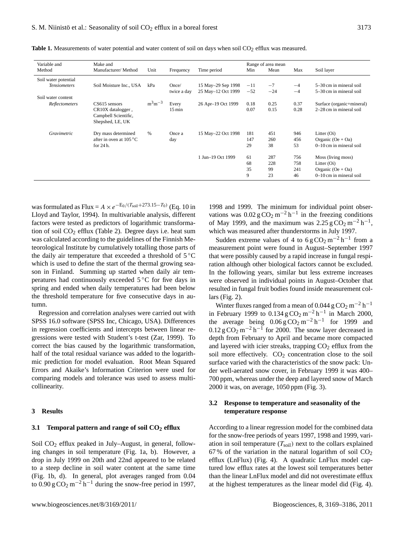| Variable and         | Make and                                                      |               |                     |                    |             | Range of area mean |      |                           |  |
|----------------------|---------------------------------------------------------------|---------------|---------------------|--------------------|-------------|--------------------|------|---------------------------|--|
| Method               | Manufacturer/Method                                           | Unit          | Frequency           | Time period        | Mean<br>Min |                    | Max  | Soil layer                |  |
| Soil water potential |                                                               |               |                     |                    |             |                    |      |                           |  |
| <b>Tensiometers</b>  | Soil Moisture Inc., USA                                       | kPa           | Once/               | 15 May–29 Sep 1998 | $-11$       | $-7$               | $-4$ | 5–30 cm in mineral soil   |  |
|                      |                                                               |               | twice a day         | 25 May-12 Oct 1999 | $-52$       | $-24$              | $-4$ | 5–30 cm in mineral soil   |  |
| Soil water content   |                                                               |               |                     |                    |             |                    |      |                           |  |
| Reflectometers       | CS615 sensors                                                 | $m^3m^{-3}$   | Every               | 26 Apr-19 Oct 1999 | 0.18        | 0.25               | 0.37 | Surface (organic+mineral) |  |
|                      | CR10X datalogger,<br>Campbell Scientific,<br>Shepshed, LE, UK |               | $15 \,\mathrm{min}$ |                    | 0.07        | 0.15               | 0.28 | 2–28 cm in mineral soil   |  |
| <b>Gravimetric</b>   | Dry mass determined                                           | $\frac{0}{0}$ | Once a              | 15 May-22 Oct 1998 | 181         | 451                | 946  | Litter $(Oi)$             |  |
|                      | after in oven at $105^{\circ}$ C                              |               | day                 |                    | 147         | 260                | 456  | Organic $(Oe + Oa)$       |  |
|                      | for $24h$ .                                                   |               |                     |                    | 29          | 38                 | 53   | $0-10$ cm in mineral soil |  |
|                      |                                                               |               |                     | 1 Jun-19 Oct 1999  | 61          | 287                | 756  | Moss (living moss)        |  |
|                      |                                                               |               |                     |                    | 68          | 228                | 758  | Litter $(Oi)$             |  |
|                      |                                                               |               |                     |                    | 35          | 99                 | 241  | Organic $(Oe + Oa)$       |  |
|                      |                                                               |               |                     |                    | 9           | 23                 | 46   | $0-10$ cm in mineral soil |  |

Table 1. Measurements of water potential and water content of soil on days when soil CO<sub>2</sub> efflux was measured.

was formulated as Flux =  $A \times e^{-E_0/(T_{\text{soil}}+273.15-T_0)}$  (Eq. 10 in Lloyd and Taylor, 1994). In multivariable analysis, different factors were tested as predictors of logarithmic transformation of soil  $CO<sub>2</sub>$  efflux (Table 2). Degree days i.e. heat sum was calculated according to the guidelines of the Finnish Meteorological Institute by cumulatively totalling those parts of the daily air temperature that exceeded a threshold of 5 ◦C which is used to define the start of the thermal growing season in Finland. Summing up started when daily air temperatures had continuously exceeded 5 ◦C for five days in spring and ended when daily temperatures had been below the threshold temperature for five consecutive days in autumn.

Regression and correlation analyses were carried out with SPSS 16.0 software (SPSS Inc, Chicago, USA). Differences in regression coefficients and intercepts between linear regressions were tested with Student's t-test (Zar, 1999). To correct the bias caused by the logarithmic transformation, half of the total residual variance was added to the logarithmic prediction for model evaluation. Root Mean Squared Errors and Akaike's Information Criterion were used for comparing models and tolerance was used to assess multicollinearity.

## **3 Results**

#### **3.1 Temporal pattern and range of soil CO<sup>2</sup> efflux**

Soil CO<sub>2</sub> efflux peaked in July–August, in general, following changes in soil temperature (Fig. 1a, b). However, a drop in July 1999 on 20th and 22nd appeared to be related to a steep decline in soil water content at the same time (Fig. 1b, d). In general, plot averages ranged from 0.04 to  $0.90 \text{ g } \text{CO}_2 \text{ m}^{-2} \text{ h}^{-1}$  during the snow-free period in 1997,

1998 and 1999. The minimum for individual point observations was  $0.02 \text{ g } \text{CO}_2 \text{ m}^{-2} \text{ h}^{-1}$  in the freezing conditions of May 1999, and the maximum was  $2.25 \text{ g } \text{CO}_2 \text{ m}^{-2} \text{ h}^{-1}$ , which was measured after thunderstorms in July 1997.

Sudden extreme values of 4 to  $6 \text{ g } CO_2 \text{ m}^{-2} \text{ h}^{-1}$  from a measurement point were found in August–September 1997 that were possibly caused by a rapid increase in fungal respiration although other biological factors cannot be excluded. In the following years, similar but less extreme increases were observed in individual points in August–October that resulted in fungal fruit bodies found inside measurement collars (Fig. 2).

Winter fluxes ranged from a mean of 0.044 g  $CO_2$  m<sup>-2</sup> h<sup>-1</sup> in February 1999 to  $0.134 \text{ g } \text{CO}_2 \text{ m}^{-2} \text{ h}^{-1}$  in March 2000, the average being  $0.06 \text{ g } \text{CO}_2 \text{ m}^{-2} \text{ h}^{-1}$  for 1999 and  $0.12 \text{ g } \text{CO}_2 \text{ m}^{-2} \text{ h}^{-1}$  for 2000. The snow layer decreased in depth from February to April and became more compacted and layered with icier streaks, trapping  $CO<sub>2</sub>$  efflux from the soil more effectively.  $CO<sub>2</sub>$  concentration close to the soil surface varied with the characteristics of the snow pack: Under well-aerated snow cover, in February 1999 it was 400– 700 ppm, whereas under the deep and layered snow of March 2000 it was, on average, 1050 ppm (Fig. 3).

# **3.2 Response to temperature and seasonality of the temperature response**

According to a linear regression model for the combined data for the snow-free periods of years 1997, 1998 and 1999, variation in soil temperature  $(T_{\text{soil}})$  next to the collars explained 67% of the variation in the natural logarithm of soil  $CO<sub>2</sub>$ efflux (LnFlux) (Fig. 4). A quadratic LnFlux model captured low efflux rates at the lowest soil temperatures better than the linear LnFlux model and did not overestimate efflux at the highest temperatures as the linear model did (Fig. 4).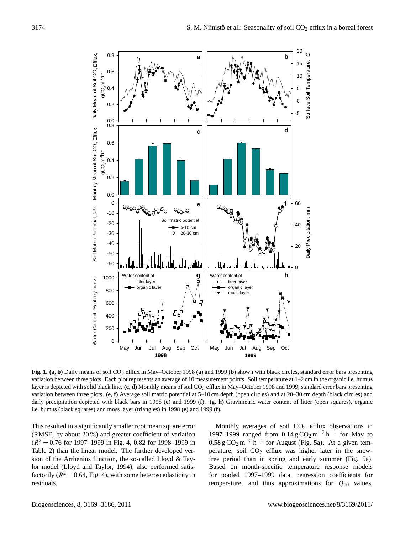

**Fig. 1. (a, b)** Daily means of soil CO<sub>2</sub> efflux in May–October 1998 (a) and 1999 (b) shown with black circles, standard error bars presenting variation between three plots. Each plot represents an average of 10 measurement points. Soil temperature at 1–2 cm in the organic i.e. humus layer is depicted with solid black line. (c, d) Monthly means of soil CO<sub>2</sub> efflux in May–October 1998 and 1999, standard error bars presenting variation between three plots. **(e, f)** Average soil matric potential at 5–10 cm depth (open circles) and at 20–30 cm depth (black circles) and daily precipitation depicted with black bars in 1998 (**e**) and 1999 (**f**). **(g, h)** Gravimetric water content of litter (open squares), organic i.e. humus (black squares) and moss layer (triangles) in 1998 (**e**) and 1999 (**f**).

This resulted in a significantly smaller root mean square error (RMSE, by about 20 %) and greater coefficient of variation  $(R^2 = 0.76$  for 1997–1999 in Fig. 4, 0.82 for 1998–1999 in Table 2) than the linear model. The further developed version of the Arrhenius function, the so-called Lloyd & Taylor model (Lloyd and Taylor, 1994), also performed satisfactorily ( $R^2 = 0.64$ , Fig. 4), with some heteroscedasticity in residuals.

Monthly averages of soil  $CO<sub>2</sub>$  efflux observations in 1997–1999 ranged from  $0.14 \text{ g } CO_2 \text{ m}^{-2} \text{ h}^{-1}$  for May to  $0.58 \text{ g } \text{CO}_2 \text{ m}^{-2} \text{ h}^{-1}$  for August (Fig. 5a). At a given temperature, soil  $CO<sub>2</sub>$  efflux was higher later in the snowfree period than in spring and early summer (Fig. 5a). Based on month-specific temperature response models for pooled 1997–1999 data, regression coefficients for temperature, and thus approximations for  $Q_{10}$  values,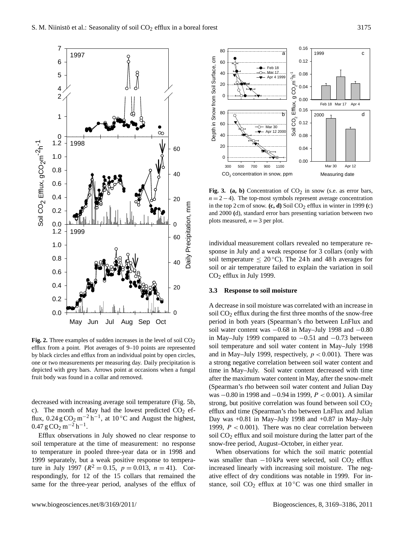

one or two measurements per measuring day. Daily precipitation is **Fig. 2.** Three examples of sudden increases in the level of soil  $CO<sub>2</sub>$ efflux from a point. Plot averages of 9–10 points are represented by black circles and efflux from an individual point by open circles, depicted with grey bars. Arrows point at occasions when a fungal fruit body was found in a collar and removed.

decreased with increasing average soil temperature (Fig. 5b, c). The month of May had the lowest predicted  $CO<sub>2</sub>$  efflux,  $0.24 \text{ g } \text{CO}_2 \text{ m}^{-2} \text{ h}^{-1}$ , at  $10 \degree \text{C}$  and August the highest,  $0.47 \text{ g } \text{CO}_2 \text{ m}^{-2} \text{ h}^{-1}.$ 

Efflux observations in July showed no clear response to soil temperature at the time of measurement: no response to temperature in pooled three-year data or in 1998 and 1999 separately, but a weak positive response to temperature in July 1997 ( $R^2 = 0.15$ ,  $p = 0.013$ ,  $n = 41$ ). Correspondingly, for 12 of the 15 collars that remained the



Fig. 3. (a, b) Concentration of  $CO<sub>2</sub>$  in snow (s.e. as error bars,  $n = 2 - 4$ ). The top-most symbols represent average concentration in the top 2 cm of snow.  $(c, d)$  Soil  $CO<sub>2</sub>$  efflux in winter in 1999  $(c)$ and 2000 **(**d), standard error bars presenting variation between two plots measured,  $n = 3$  per plot.

individual measurement collars revealed no temperature response in July and a weak response for 3 collars (only with soil temperature  $\leq 20^{\circ}$ C). The 24 h and 48 h averages for soil or air temperature failed to explain the variation in soil CO<sup>2</sup> efflux in July 1999.

## **3.3 Response to soil moisture**

A decrease in soil moisture was correlated with an increase in soil CO<sup>2</sup> efflux during the first three months of the snow-free period in both years (Spearman's rho between LnFlux and soil water content was  $-0.68$  in May–July 1998 and  $-0.80$ in May–July 1999 compared to  $-0.51$  and  $-0.73$  between soil temperature and soil water content in May–July 1998 and in May–July 1999, respectively,  $p < 0.001$ ). There was a strong negative correlation between soil water content and time in May–July. Soil water content decreased with time after the maximum water content in May, after the snow-melt (Spearman's rho between soil water content and Julian Day was −0.80 in 1998 and −0.94 in 1999, P < 0.001). A similar strong, but positive correlation was found between soil  $CO<sub>2</sub>$ efflux and time (Spearman's rho between LnFlux and Julian Day was +0.81 in May–July 1998 and +0.87 in May–July 1999,  $P < 0.001$ ). There was no clear correlation between soil CO<sub>2</sub> efflux and soil moisture during the latter part of the snow-free period, August–October, in either year.

When observations for which the soil matric potential was smaller than  $-10$  kPa were selected, soil  $CO<sub>2</sub>$  efflux increased linearly with increasing soil moisture. The negative effect of dry conditions was notable in 1999. For instance, soil  $CO<sub>2</sub>$  efflux at 10 °C was one third smaller in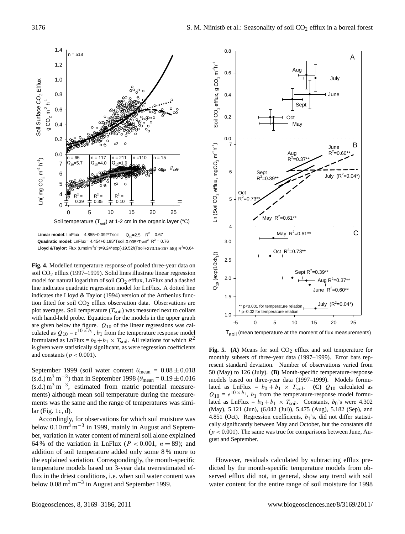

**Linear model**: LnFlux = 4.855+0.092\*Tsoil  $Q_{10} = 2.5$  R<sup>2</sup> = 0.67 **Quadratic model**: LnFlux=  $4.454+0.195*$ Tsoil- $0.005*$ Tsoil<sup>2</sup>  $R^2 = 0.76$  ${\sf Lloyd~&Taylor:~}$ Flux (umolm $^2$ s $^{\text{-1}}$ )=9.24\*exp(-19.52/(Tsoil+273.15-267.58)) R $^2$ =0.64

**Fig. 4.** Modelled temperature response of pooled three-year data on soil CO<sub>2</sub> efflux (1997–1999). Solid lines illustrate linear regression model for natural logarithm of soil  $CO<sub>2</sub>$  efflux, LnFlux and a dashed line indicates quadratic regression model for LnFlux. A dotted line indicates the Lloyd & Taylor (1994) version of the Arrhenius function fitted for soil CO<sub>2</sub> efflux observation data. Observations are plot averages. Soil temperature  $(T_{\text{solid}})$  was measured next to collars with hand-held probe. Equations for the models in the upper graph are given below the figure.  $Q_{10}$  of the linear regressions was calculated as  $Q_{10} = e^{10 \times b_1}$ ,  $b_1$  from the temperature response model formulated as LnFlux =  $b_0 + b_1 \times T_{\text{soil}}$ . All relations for which  $R^2$ is given were statistically significant, as were regression coefficients and constants ( $p < 0.001$ ).

September 1999 (soil water content  $\theta_{\text{mean}} = 0.08 \pm 0.018$  $(s.d.)$  m<sup>3</sup> m<sup>-3</sup>) than in September 1998 ( $\theta_{\text{mean}} = 0.19 \pm 0.016$  $(s.d.) m<sup>3</sup> m<sup>-3</sup>$ , estimated from matric potential measurements) although mean soil temperature during the measurements was the same and the range of temperatures was similar (Fig. 1c, d).

Accordingly, for observations for which soil moisture was below  $0.10 \text{ m}^3 \text{ m}^{-3}$  in 1999, mainly in August and September, variation in water content of mineral soil alone explained 64 % of the variation in LnFlux ( $P < 0.001$ ,  $n = 89$ ); and addition of soil temperature added only some 8 % more to the explained variation. Correspondingly, the month-specific temperature models based on 3-year data overestimated efflux in the driest conditions, i.e. when soil water content was below  $0.08 \text{ m}^3 \text{ m}^{-3}$  in August and September 1999.



 $T<sub>Soil</sub>$  (mean temperature at the moment of flux measurements)

2 **Fig. 5** 50 (May) to 126 (July). **(B)** Month-specific temperature-response Fig. 5. (A) Means for soil  $CO<sub>2</sub>$  efflux and soil temperature for monthly subsets of three-year data (1997–1999). Error bars represent standard deviation. Number of observations varied from models based on three-year data (1997–1999). Models formulated as LnFlux =  $b_0 + b_1 \times T_{\text{soil}}$ . **(C)**  $Q_{10}$  calculated as  $Q_{10} = e^{10 \times b_1}$ ,  $b_1$  from the temperature-response model formulated as LnFlux =  $b_0 + b_1 \times T_{\text{solid}}$ . Constants,  $b_0$ 's were 4.302 (May), 5.121 (Jun), (6.042 (Jul)), 5.475 (Aug), 5.182 (Sep), and 4.851 (Oct). Regression coefficients,  $b_1$ 's, did not differ statistically significantly between May and October, but the constants did  $(p < 0.001)$ . The same was true for comparisons between June, August and September.

However, residuals calculated by subtracting efflux predicted by the month-specific temperature models from observed efflux did not, in general, show any trend with soil water content for the entire range of soil moisture for 1998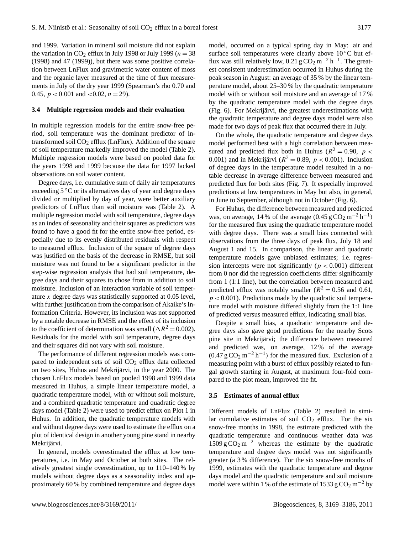and 1999. Variation in mineral soil moisture did not explain the variation in CO<sub>2</sub> efflux in July 1998 or July 1999 ( $n = 38$ ) (1998) and 47 (1999)), but there was some positive correlation between LnFlux and gravimetric water content of moss and the organic layer measured at the time of flux measurements in July of the dry year 1999 (Spearman's rho 0.70 and 0.45,  $p < 0.001$  and  $< 0.02$ ,  $n = 29$ ).

#### **3.4 Multiple regression models and their evaluation**

In multiple regression models for the entire snow-free period, soil temperature was the dominant predictor of lntransformed soil  $CO<sub>2</sub>$  efflux (LnFlux). Addition of the square of soil temperature markedly improved the model (Table 2). Multiple regression models were based on pooled data for the years 1998 and 1999 because the data for 1997 lacked observations on soil water content.

Degree days, i.e. cumulative sum of daily air temperatures exceeding 5 ◦C or its alternatives day of year and degree days divided or multiplied by day of year, were better auxiliary predictors of LnFlux than soil moisture was (Table 2). A multiple regression model with soil temperature, degree days as an index of seasonality and their squares as predictors was found to have a good fit for the entire snow-free period, especially due to its evenly distributed residuals with respect to measured efflux. Inclusion of the square of degree days was justified on the basis of the decrease in RMSE, but soil moisture was not found to be a significant predictor in the step-wise regression analysis that had soil temperature, degree days and their squares to chose from in addition to soil moisture. Inclusion of an interaction variable of soil temperature x degree days was statistically supported at 0.05 level, with further justification from the comparison of Akaike's Information Criteria. However, its inclusion was not supported by a notable decrease in RMSE and the effect of its inclusion to the coefficient of determination was small ( $\Delta R^2 = 0.002$ ). Residuals for the model with soil temperature, degree days and their squares did not vary with soil moisture.

The performance of different regression models was compared to independent sets of soil  $CO<sub>2</sub>$  efflux data collected on two sites, Huhus and Mekrijärvi, in the year 2000. The chosen LnFlux models based on pooled 1998 and 1999 data measured in Huhus, a simple linear temperature model, a quadratic temperature model, with or without soil moisture, and a combined quadratic temperature and quadratic degree days model (Table 2) were used to predict efflux on Plot 1 in Huhus. In addition, the quadratic temperature models with and without degree days were used to estimate the efflux on a plot of identical design in another young pine stand in nearby Mekrijärvi.

In general, models overestimated the efflux at low temperatures, i.e. in May and October at both sites. The relatively greatest single overestimation, up to 110–140 % by models without degree days as a seasonality index and approximately 60 % by combined temperature and degree days model, occurred on a typical spring day in May: air and surface soil temperatures were clearly above  $10^{\circ}$ C but efflux was still relatively low,  $0.21 \text{ g } CO_2 \text{ m}^{-2} \text{ h}^{-1}$ . The greatest consistent underestimation occurred in Huhus during the peak season in August: an average of 35 % by the linear temperature model, about 25–30 % by the quadratic temperature model with or without soil moisture and an average of 17 % by the quadratic temperature model with the degree days (Fig. 6). For Mekrijärvi, the greatest underestimations with the quadratic temperature and degree days model were also made for two days of peak flux that occurred there in July.

On the whole, the quadratic temperature and degree days model performed best with a high correlation between measured and predicted flux both in Huhus ( $R^2 = 0.90$ ,  $p <$ 0.001) and in Mekrijärvi ( $R^2 = 0.89$ ,  $p < 0.001$ ). Inclusion of degree days in the temperature model resulted in a notable decrease in average difference between measured and predicted flux for both sites (Fig. 7). It especially improved predictions at low temperatures in May but also, in general, in June to September, although not in October (Fig. 6).

For Huhus, the difference between measured and predicted was, on average, 14 % of the average  $(0.45 \text{ g } \text{CO}_2 \text{ m}^{-2} \text{ h}^{-1})$ for the measured flux using the quadratic temperature model with degree days. There was a small bias connected with observations from the three days of peak flux, July 18 and August 1 and 15. In comparison, the linear and quadratic temperature models gave unbiased estimates; i.e. regression intercepts were not significantly ( $p < 0.001$ ) different from 0 nor did the regression coefficients differ significantly from 1 (1:1 line), but the correlation between measured and predicted efflux was notably smaller ( $R^2 = 0.56$  and 0.61,  $p < 0.001$ ). Predictions made by the quadratic soil temperature model with moisture differed slightly from the 1:1 line of predicted versus measured efflux, indicating small bias.

Despite a small bias, a quadratic temperature and degree days also gave good predictions for the nearby Scots pine site in Mekrijärvi; the difference between measured and predicted was, on average, 12 % of the average  $(0.47 \text{ g } \text{CO}_2 \text{ m}^{-2} \text{ h}^{-1})$  for the measured flux. Exclusion of a measuring point with a burst of efflux possibly related to fungal growth starting in August, at maximum four-fold compared to the plot mean, improved the fit.

#### **3.5 Estimates of annual efflux**

Different models of LnFlux (Table 2) resulted in similar cumulative estimates of soil  $CO<sub>2</sub>$  efflux. For the six snow-free months in 1998, the estimate predicted with the quadratic temperature and continuous weather data was  $1509 \text{ g } CO<sub>2</sub> \text{ m}^{-2}$  whereas the estimate by the quadratic temperature and degree days model was not significantly greater (a 3 % difference). For the six snow-free months of 1999, estimates with the quadratic temperature and degree days model and the quadratic temperature and soil moisture model were within 1 % of the estimate of 1533 g  $CO<sub>2</sub>$  m<sup>-2</sup> by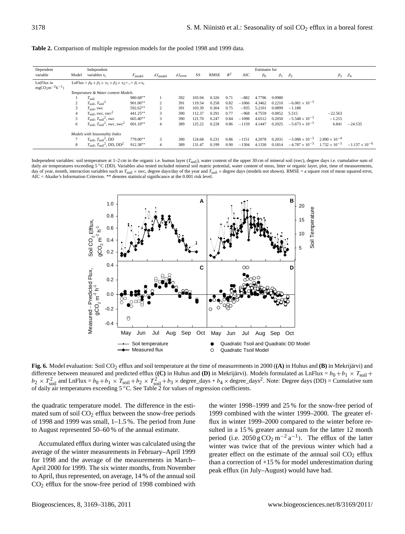| Dependent                            | Independent                        |                                                                                      |             |                |            |        |       |       |         | <b>Estimates for</b> |           |                         |                        |                         |
|--------------------------------------|------------------------------------|--------------------------------------------------------------------------------------|-------------|----------------|------------|--------|-------|-------|---------|----------------------|-----------|-------------------------|------------------------|-------------------------|
| variable                             | Model                              | variables $x_i$                                                                      | $F_{model}$ | $df_{model}$   | $d$ ferror | SS     | RMSE  | $R^2$ | AIC     | $\beta_0$            | $\beta_1$ | $\beta_2$               | $\beta_3$              | $\beta_4$               |
| Ln(Flux in<br>$mgCO_2m^{-2}h^{-1}$ ) |                                    | LnFlux = $\beta_0 + \beta_1 \times x_1 + \beta_2 \times x_2 +  + \beta_i \times x_i$ |             |                |            |        |       |       |         |                      |           |                         |                        |                         |
|                                      | Temperature & Water content Models |                                                                                      |             |                |            |        |       |       |         |                      |           |                         |                        |                         |
|                                      |                                    | $T_{\rm soil}$                                                                       | 980.68**    |                | 392        | 103.94 | 0.326 | 0.71  | $-882$  | 4.7796               | 0.0980    |                         |                        |                         |
|                                      | 2                                  | $T_{\text{soil}}$ , $T_{\text{soil}}^2$                                              | $901.06**$  | $\overline{c}$ | 391        | 119.54 | 0.258 | 0.82  | $-1066$ | 4.3462               | 0.2210    | $-6.081 \times 10^{-3}$ |                        |                         |
|                                      | 3                                  | $T_{\text{soil}}$ , swc                                                              | 592.62**    | $\overline{2}$ | 391        | 103.39 | 0.304 | 0.75  | $-935$  | 5.2101               | 0.0899    | $-1.188$                |                        |                         |
|                                      | 4                                  | $T_{\text{soil}}$ , swc, swc <sup>2</sup>                                            | 441.25**    | 3              | 390        | 112.37 | 0.291 | 0.77  | $-968$  | 4.7559               | 0.0852    | 5.515                   | $-22.563$              |                         |
|                                      |                                    | $T_{\text{soil}}$ , $T_{\text{soil}}^2$ , swc                                        | $665.40**$  | 3              | 390        | 121.70 | 0.247 | 0.84  | $-1098$ | 4.6512               | 0.2050    | $-5.548 \times 10^{-3}$ | $-1.215$               |                         |
|                                      | 6                                  | $T_{\text{soil}}$ , $T_{\text{soil}}^2$ , swc, swc <sup>2</sup>                      | $601.10**$  |                | 389        | 125.22 | 0.228 | 0.86  | $-1159$ | 4.1447               | 0.2025    | $-5.673 \times 10^{-3}$ | 6.841                  | $-24.535$               |
|                                      |                                    | Models with Seasonality Index                                                        |             |                |            |        |       |       |         |                      |           |                         |                        |                         |
|                                      |                                    | $T_{\text{soil}}$ , $T_{\text{soil}}^2$ , DD                                         | $779.00**$  | 3              | 390        | 124.68 | 0.231 | 0.86  | $-1151$ | 4.2078               | 0.2031    | $-5.088 \times 10^{-3}$ | $2.890 \times 10^{-4}$ |                         |
|                                      | 8                                  | $T_{\text{soil}}$ , $T_{\text{soil}}^2$ , DD, DD <sup>2</sup>                        | 912.38**    |                | 389        | 131.47 | 0.199 | 0.90  | $-1304$ | 4.1330               | 0.1814    | $-4.787 \times 10^{-3}$ | $1.732 \times 10^{-3}$ | $-1.137 \times 10^{-6}$ |

Independent variables: soil temperature at 1–2 cm in the organic i.e. humus layer ( $T_{\text{soil}}$ ), water content of the upper 30 cm of mineral soil (swc), degree days i.e. cumulative sum of<br>daily air temperatures exceeding 5 day of year, month, interaction variables such as  $T_{\text{sol}} \times$  swc, degree days/day of the year and  $T_{\text{sol}} \times$  degree days (models not shown). RMSE = a square root of mean squared error, AIC = Akaike's Information Criterion. \*\* denotes statistical significance at the 0.001 risk level.



**Fig. 6.** Model evaluation: Soil CO2 efflux and soil temperature at the time of measurements in 2000 (**(A)** in Huhus and **(B)** in Mekrijärvi) and difference between measured and predicted efflux  $\langle (C)$  in Huhus and  $(D)$  in Mekrijärvi). Models formulated as LnFlux =  $b_0 + b_1 \times T_{\text{solid}} +$  $b_2 \times T_{\text{soil}}^2$  and LnFlux =  $b_0 + b_1 \times T_{\text{soil}} + b_2 \times T_{\text{soil}}^2 + b_3 \times \text{degree\_days} + b_4 \times \text{degree\_days}^2$ . Note: Degree days (DD) = Cumulative sum of daily air temperatures exceeding  $5^{\circ}$ C. See Table 2 for values of regression coefficients.

the quadratic temperature model. The difference in the estimated sum of soil  $CO<sub>2</sub>$  efflux between the snow-free periods of 1998 and 1999 was small, 1–1.5 %. The period from June to August represented 50–60 % of the annual estimate.

Accumulated efflux during winter was calculated using the average of the winter measurements in February–April 1999 for 1998 and the average of the measurements in March– April 2000 for 1999. The six winter months, from November to April, thus represented, on average, 14 % of the annual soil CO<sup>2</sup> efflux for the snow-free period of 1998 combined with

the winter 1998–1999 and 25 % for the snow-free period of 1999 combined with the winter 1999–2000. The greater efflux in winter 1999–2000 compared to the winter before resulted in a 15 % greater annual sum for the latter 12 month period (i.e.  $2050 \text{ g } \text{CO}_2 \text{ m}^{-2} \text{ a}^{-1}$ ). The efflux of the latter winter was twice that of the previous winter which had a greater effect on the estimate of the annual soil  $CO<sub>2</sub>$  efflux than a correction of +15 % for model underestimation during peak efflux (in July–August) would have had.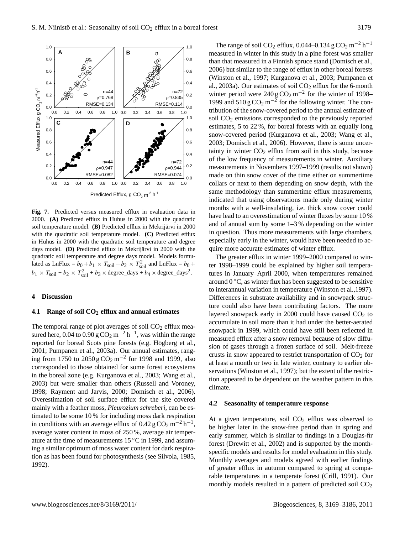**Fig. 7.** Predicted versus measured efflux in evaluation data in 2000. **(A)** Predicted efflux in Huhus in 2000 with the quadratic soil temperature model. **(B)** Predicted efflux in Mekrijärvi in 2000 with the quadratic soil temperature model. **(C)** Predicted efflux in Huhus in 2000 with the quadratic soil temperature and degree days model. **(D)** Predicted efflux in Mekrijärvi in 2000 with the quadratic soil temperature and degree days model. Models formulated as LnFlux =  $b_0 + b_1 \times T_{\text{soil}} + b_2 \times T_{\text{soil}}^2$  and LnFlux =  $b_0$  +  $b_1 \times T_{\text{soil}} + b_2 \times T_{\text{soil}}^2 + b_3 \times \text{degree\_days} + b_4 \times \text{degree\_days}^2$ .

#### **4 Discussion**

#### **4.1 Range of soil CO<sup>2</sup> efflux and annual estimates**

corresponded to those obtained for some forest ecosystems The temporal range of plot averages of soil  $CO<sub>2</sub>$  efflux measured here, 0.04 to  $0.90 \text{ g } \text{CO}_2 \text{ m}^{-2} \text{ h}^{-1}$ , was within the range reported for boreal Scots pine forests (e.g. Högberg et al., 2001; Pumpanen et al., 2003a). Our annual estimates, ranging from 1750 to 2050 g  $CO_2$  m<sup>-2</sup> for 1998 and 1999, also in the boreal zone (e.g. Kurganova et al., 2003; Wang et al., 2003) but were smaller than others (Russell and Voroney, 1998; Rayment and Jarvis, 2000; Domisch et al., 2006). Overestimation of soil surface efflux for the site covered mainly with a feather moss, *Pleurozium schreberi,* can be estimated to be some 10 % for including moss dark respiration in conditions with an average efflux of  $0.42 \text{ g } \text{CO}_2 \text{ m}^{-2} \text{ h}^{-1}$ , average water content in moss of 250 %, average air temperature at the time of measurements 15 ◦C in 1999, and assuming a similar optimum of moss water content for dark respiration as has been found for photosynthesis (see Silvola, 1985, 1992).

The range of soil CO<sub>2</sub> efflux, 0.044–0.134 g CO<sub>2</sub> m<sup>-2</sup> h<sup>-1</sup> measured in winter in this study in a pine forest was smaller than that measured in a Finnish spruce stand (Domisch et al., 2006) but similar to the range of efflux in other boreal forests (Winston et al., 1997; Kurganova et al., 2003; Pumpanen et al., 2003a). Our estimates of soil  $CO<sub>2</sub>$  efflux for the 6-month winter period were  $240 \text{ g } \text{CO}_2 \text{ m}^{-2}$  for the winter of 1998– 1999 and  $510 \text{ g } \text{CO}_2 \text{ m}^{-2}$  for the following winter. The contribution of the snow-covered period to the annual estimate of soil CO<sup>2</sup> emissions corresponded to the previously reported estimates, 5 to 22 %, for boreal forests with an equally long snow-covered period (Kurganova et al., 2003; Wang et al., 2003; Domisch et al., 2006). However, there is some uncertainty in winter  $CO<sub>2</sub>$  efflux from soil in this study, because of the low frequency of measurements in winter. Auxiliary measurements in Novembers 1997–1999 (results not shown) made on thin snow cover of the time either on summertime collars or next to them depending on snow depth, with the same methodology than summertime efflux measurements, indicated that using observations made only during winter months with a well-insulating, i.e. thick snow cover could have lead to an overestimation of winter fluxes by some 10 % and of annual sum by some 1–3 % depending on the winter in question. Thus more measurements with large chambers, especially early in the winter, would have been needed to acquire more accurate estimates of winter efflux.

The greater efflux in winter 1999–2000 compared to winter 1998–1999 could be explained by higher soil temperatures in January–April 2000, when temperatures remained around  $0^{\circ}$ C, as winter flux has been suggested to be sensitive to interannual variation in temperature (Winston et al.,1997). Differences in substrate availability and in snowpack structure could also have been contributing factors. The more layered snowpack early in 2000 could have caused  $CO<sub>2</sub>$  to accumulate in soil more than it had under the better-aerated snowpack in 1999, which could have still been reflected in measured efflux after a snow removal because of slow diffusion of gases through a frozen surface of soil. Melt-freeze crusts in snow appeared to restrict transportation of  $CO<sub>2</sub>$  for at least a month or two in late winter, contrary to earlier observations (Winston et al., 1997); but the extent of the restriction appeared to be dependent on the weather pattern in this climate.

#### **4.2 Seasonality of temperature response**

At a given temperature, soil  $CO<sub>2</sub>$  efflux was observed to be higher later in the snow-free period than in spring and early summer, which is similar to findings in a Douglas-fir forest (Drewitt et al., 2002) and is supported by the monthspecific models and results for model evaluation in this study. Monthly averages and models agreed with earlier findings of greater efflux in autumn compared to spring at comparable temperatures in a temperate forest (Crill, 1991). Our monthly models resulted in a pattern of predicted soil  $CO<sub>2</sub>$ 

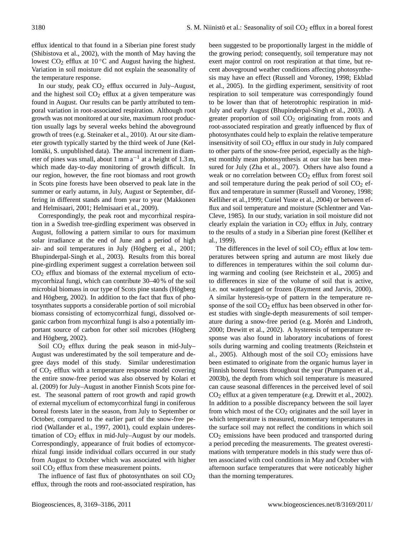efflux identical to that found in a Siberian pine forest study (Shibistova et al., 2002), with the month of May having the lowest  $CO<sub>2</sub>$  efflux at 10 °C and August having the highest. Variation in soil moisture did not explain the seasonality of the temperature response.

In our study, peak  $CO<sub>2</sub>$  efflux occurred in July–August, and the highest soil  $CO<sub>2</sub>$  efflux at a given temperature was found in August. Our results can be partly attributed to temporal variation in root-associated respiration. Although root growth was not monitored at our site, maximum root production usually lags by several weeks behind the aboveground growth of trees (e.g. Steinaker et al., 2010). At our site diameter growth typically started by the third week of June (Kellomäki, S. unpublished data). The annual increment in diameter of pines was small, about  $1 \text{ mm a}^{-1}$  at a height of  $1.3 \text{ m}$ , which made day-to-day monitoring of growth difficult. In our region, however, the fine root biomass and root growth in Scots pine forests have been observed to peak late in the summer or early autumn, in July, August or September, differing in different stands and from year to year (Makkonen and Helmisaari, 2001; Helmisaari et al., 2009).

Correspondingly, the peak root and mycorrhizal respiration in a Swedish tree-girdling experiment was observed in August, following a pattern similar to ours for maximum solar irradiance at the end of June and a period of high air- and soil temperatures in July (Högberg et al., 2001; Bhupinderpal-Singh et al., 2003). Results from this boreal pine-girdling experiment suggest a correlation between soil  $CO<sub>2</sub>$  efflux and biomass of the external mycelium of ectomycorrhizal fungi, which can contribute 30–40 % of the soil microbial biomass in our type of Scots pine stands (Högberg and Högberg, 2002). In addition to the fact that flux of photosynthates supports a considerable portion of soil microbial biomass consisting of ectomycorrhizal fungi, dissolved organic carbon from mycorrhizal fungi is also a potentially important source of carbon for other soil microbes (Högberg and Högberg, 2002).

Soil  $CO<sub>2</sub>$  efflux during the peak season in mid-July– August was underestimated by the soil temperature and degree days model of this study. Similar underestimation of CO<sup>2</sup> efflux with a temperature response model covering the entire snow-free period was also observed by Kolari et al. (2009) for July–August in another Finnish Scots pine forest. The seasonal pattern of root growth and rapid growth of external mycelium of ectomycorrhizal fungi in coniferous boreal forests later in the season, from July to September or October, compared to the earlier part of the snow-free period (Wallander et al., 1997, 2001), could explain underestimation of  $CO<sub>2</sub>$  efflux in mid-July–August by our models. Correspondingly, appearance of fruit bodies of ectomycorrhizal fungi inside individual collars occurred in our study from August to October which was associated with higher soil  $CO<sub>2</sub>$  efflux from these measurement points.

The influence of fast flux of photosynthates on soil  $CO<sub>2</sub>$ efflux, through the roots and root-associated respiration, has been suggested to be proportionally largest in the middle of the growing period; consequently, soil temperature may not exert major control on root respiration at that time, but recent aboveground weather conditions affecting photosynthesis may have an effect (Russell and Voroney, 1998; Ekblad et al., 2005). In the girdling experiment, sensitivity of root respiration to soil temperature was correspondingly found to be lower than that of heterotrophic respiration in mid-July and early August (Bhupinderpal-Singh et al., 2003). A greater proportion of soil CO<sub>2</sub> originating from roots and root-associated respiration and greatly influenced by flux of photosynthates could help to explain the relative temperature insensitivity of soil CO<sub>2</sub> efflux in our study in July compared to other parts of the snow-free period, especially as the highest monthly mean photosynthesis at our site has been measured for July (Zha et al., 2007). Others have also found a weak or no correlation between  $CO<sub>2</sub>$  efflux from forest soil and soil temperature during the peak period of soil  $CO<sub>2</sub>$  efflux and temperature in summer (Russell and Voroney, 1998; Kelliher et al.,1999; Curiel Yuste et al., 2004) or between efflux and soil temperature and moisture (Schlentner and Van-Cleve, 1985). In our study, variation in soil moisture did not clearly explain the variation in  $CO<sub>2</sub>$  efflux in July, contrary to the results of a study in a Siberian pine forest (Kelliher et al., 1999).

The differences in the level of soil  $CO<sub>2</sub>$  efflux at low temperatures between spring and autumn are most likely due to differences in temperatures within the soil column during warming and cooling (see Reichstein et al., 2005) and to differences in size of the volume of soil that is active, i.e. not waterlogged or frozen (Rayment and Jarvis, 2000). A similar hysteresis-type of pattern in the temperature response of the soil  $CO<sub>2</sub>$  efflux has been observed in other forest studies with single-depth measurements of soil temperature during a snow-free period (e.g. Morén and Lindroth, 2000; Drewitt et al., 2002). A hysteresis of temperature response was also found in laboratory incubations of forest soils during warming and cooling treatments (Reichstein et al., 2005). Although most of the soil  $CO<sub>2</sub>$  emissions have been estimated to originate from the organic humus layer in Finnish boreal forests throughout the year (Pumpanen et al., 2003b), the depth from which soil temperature is measured can cause seasonal differences in the perceived level of soil CO<sup>2</sup> efflux at a given temperature (e.g. Drewitt et al., 2002). In addition to a possible discrepancy between the soil layer from which most of the  $CO<sub>2</sub>$  originates and the soil layer in which temperature is measured, momentary temperatures in the surface soil may not reflect the conditions in which soil  $CO<sub>2</sub>$  emissions have been produced and transported during a period preceding the measurements. The greatest overestimations with temperature models in this study were thus often associated with cool conditions in May and October with afternoon surface temperatures that were noticeably higher than the morning temperatures.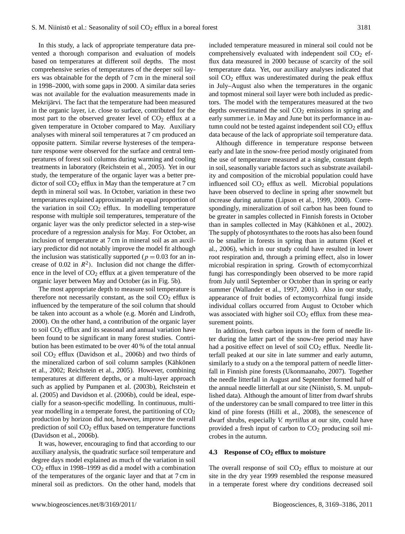In this study, a lack of appropriate temperature data prevented a thorough comparison and evaluation of models based on temperatures at different soil depths. The most comprehensive series of temperatures of the deeper soil layers was obtainable for the depth of 7 cm in the mineral soil in 1998–2000, with some gaps in 2000. A similar data series was not available for the evaluation measurements made in Mekrijärvi. The fact that the temperature had been measured in the organic layer, i.e. close to surface, contributed for the most part to the observed greater level of  $CO<sub>2</sub>$  efflux at a given temperature in October compared to May. Auxiliary analyses with mineral soil temperatures at 7 cm produced an opposite pattern. Similar reverse hystereses of the temperature response were observed for the surface and central temperatures of forest soil columns during warming and cooling treatments in laboratory (Reichstein et al., 2005). Yet in our study, the temperature of the organic layer was a better predictor of soil  $CO<sub>2</sub>$  efflux in May than the temperature at 7 cm depth in mineral soil was. In October, variation in these two temperatures explained approximately an equal proportion of the variation in soil  $CO<sub>2</sub>$  efflux. In modelling temperature response with multiple soil temperatures, temperature of the organic layer was the only predictor selected in a step-wise procedure of a regression analysis for May. For October, an inclusion of temperature at 7 cm in mineral soil as an auxiliary predictor did not notably improve the model fit although the inclusion was statistically supported ( $p = 0.03$  for an increase of 0.02 in  $R^2$ ). Inclusion did not change the difference in the level of  $CO<sub>2</sub>$  efflux at a given temperature of the organic layer between May and October (as in Fig. 5b).

The most appropriate depth to measure soil temperature is therefore not necessarily constant, as the soil  $CO<sub>2</sub>$  efflux is influenced by the temperature of the soil column that should be taken into account as a whole (e.g. Morén and Lindroth, 2000). On the other hand, a contribution of the organic layer to soil  $CO<sub>2</sub>$  efflux and its seasonal and annual variation have been found to be significant in many forest studies. Contribution has been estimated to be over 40 % of the total annual soil CO<sup>2</sup> efflux (Davidson et al., 2006b) and two thirds of the mineralized carbon of soil column samples (Kähkönen et al., 2002; Reichstein et al., 2005). However, combining temperatures at different depths, or a multi-layer approach such as applied by Pumpanen et al. (2003b), Reichstein et al. (2005) and Davidson et al. (2006b), could be ideal, especially for a season-specific modelling. In continuous, multiyear modelling in a temperate forest, the partitioning of  $CO<sub>2</sub>$ production by horizon did not, however, improve the overall prediction of soil  $CO<sub>2</sub>$  efflux based on temperature functions (Davidson et al., 2006b).

It was, however, encouraging to find that according to our auxiliary analysis, the quadratic surface soil temperature and degree days model explained as much of the variation in soil  $CO<sub>2</sub>$  efflux in 1998–1999 as did a model with a combination of the temperatures of the organic layer and that at 7 cm in mineral soil as predictors. On the other hand, models that included temperature measured in mineral soil could not be comprehensively evaluated with independent soil  $CO<sub>2</sub>$  efflux data measured in 2000 because of scarcity of the soil temperature data. Yet, our auxiliary analyses indicated that soil  $CO<sub>2</sub>$  efflux was underestimated during the peak efflux in July–August also when the temperatures in the organic and topmost mineral soil layer were both included as predictors. The model with the temperatures measured at the two depths overestimated the soil  $CO<sub>2</sub>$  emissions in spring and early summer i.e. in May and June but its performance in autumn could not be tested against independent soil  $CO<sub>2</sub>$  efflux data because of the lack of appropriate soil temperature data.

Although difference in temperature response between early and late in the snow-free period mostly originated from the use of temperature measured at a single, constant depth in soil, seasonally variable factors such as substrate availability and composition of the microbial population could have influenced soil  $CO<sub>2</sub>$  efflux as well. Microbial populations have been observed to decline in spring after snowmelt but increase during autumn (Lipson et al., 1999, 2000). Correspondingly, mineralization of soil carbon has been found to be greater in samples collected in Finnish forests in October than in samples collected in May (Kähkönen et al., 2002). The supply of photosynthates to the roots has also been found to be smaller in forests in spring than in autumn (Keel et al., 2006), which in our study could have resulted in lower root respiration and, through a priming effect, also in lower microbial respiration in spring. Growth of ectomycorrhizal fungi has correspondingly been observed to be more rapid from July until September or October than in spring or early summer (Wallander et al., 1997, 2001). Also in our study, appearance of fruit bodies of ectomycorrhizal fungi inside individual collars occurred from August to October which was associated with higher soil  $CO<sub>2</sub>$  efflux from these measurement points.

In addition, fresh carbon inputs in the form of needle litter during the latter part of the snow-free period may have had a positive effect on level of soil  $CO<sub>2</sub>$  efflux. Needle litterfall peaked at our site in late summer and early autumn, similarly to a study on a the temporal pattern of needle litterfall in Finnish pine forests (Ukonmaanaho, 2007). Together the needle litterfall in August and September formed half of the annual needle litterfall at our site (Niinistö, S. M. unpublished data). Although the amount of litter from dwarf shrubs of the understorey can be small compared to tree litter in this kind of pine forests (Hilli et al., 2008), the senescence of dwarf shrubs, especially *V. myrtillus* at our site, could have provided a fresh input of carbon to  $CO<sub>2</sub>$  producing soil microbes in the autumn.

#### **4.3 Response of CO<sup>2</sup> efflux to moisture**

The overall response of soil  $CO<sub>2</sub>$  efflux to moisture at our site in the dry year 1999 resembled the response measured in a temperate forest where dry conditions decreased soil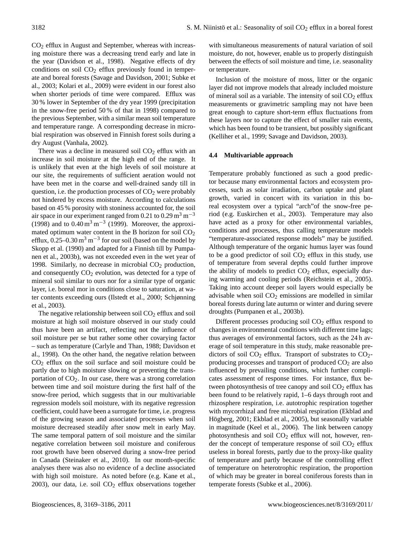CO<sup>2</sup> efflux in August and September, whereas with increasing moisture there was a decreasing trend early and late in the year (Davidson et al., 1998). Negative effects of dry conditions on soil  $CO<sub>2</sub>$  efflux previously found in temperate and boreal forests (Savage and Davidson, 2001; Subke et al., 2003; Kolari et al., 2009) were evident in our forest also when shorter periods of time were compared. Efflux was 30 % lower in September of the dry year 1999 (precipitation in the snow-free period 50 % of that in 1998) compared to the previous September, with a similar mean soil temperature and temperature range. A corresponding decrease in microbial respiration was observed in Finnish forest soils during a dry August (Vanhala, 2002).

There was a decline in measured soil  $CO<sub>2</sub>$  efflux with an increase in soil moisture at the high end of the range. It is unlikely that even at the high levels of soil moisture at our site, the requirements of sufficient aeration would not have been met in the coarse and well-drained sandy till in question, i.e. the production processes of  $CO<sub>2</sub>$  were probably not hindered by excess moisture. According to calculations based on 45 % porosity with stoniness accounted for, the soil air space in our experiment ranged from 0.21 to 0.29 m<sup>3</sup> m<sup>-3</sup> (1998) and to  $0.40 \,\mathrm{m^3\,m^{-3}}$  (1999). Moreover, the approximated optimum water content in the B horizon for soil  $CO<sub>2</sub>$ efflux,  $0.25-0.30 \text{ m}^3 \text{ m}^{-3}$  for our soil (based on the model by Skopp et al. (1990) and adapted for a Finnish till by Pumpanen et al., 2003b), was not exceeded even in the wet year of 1998. Similarly, no decrease in microbial  $CO<sub>2</sub>$  production, and consequently  $CO<sub>2</sub>$  evolution, was detected for a type of mineral soil similar to ours nor for a similar type of organic layer, i.e. boreal mor in conditions close to saturation, at water contents exceeding ours (Ilstedt et al., 2000; Schjønning et al., 2003).

The negative relationship between soil  $CO<sub>2</sub>$  efflux and soil moisture at high soil moisture observed in our study could thus have been an artifact, reflecting not the influence of soil moisture per se but rather some other covarying factor – such as temperature (Carlyle and Than, 1988; Davidson et al., 1998). On the other hand, the negative relation between  $CO<sub>2</sub>$  efflux on the soil surface and soil moisture could be partly due to high moisture slowing or preventing the transportation of  $CO<sub>2</sub>$ . In our case, there was a strong correlation between time and soil moisture during the first half of the snow-free period, which suggests that in our multivariable regression models soil moisture, with its negative regression coefficient, could have been a surrogate for time, i.e. progress of the growing season and associated processes when soil moisture decreased steadily after snow melt in early May. The same temporal pattern of soil moisture and the similar negative correlation between soil moisture and coniferous root growth have been observed during a snow-free period in Canada (Steinaker et al., 2010). In our month-specific analyses there was also no evidence of a decline associated with high soil moisture. As noted before (e.g. Kane et al., 2003), our data, i.e. soil  $CO<sub>2</sub>$  efflux observations together

with simultaneous measurements of natural variation of soil moisture, do not, however, enable us to properly distinguish between the effects of soil moisture and time, i.e. seasonality or temperature.

Inclusion of the moisture of moss, litter or the organic layer did not improve models that already included moisture of mineral soil as a variable. The intensity of soil  $CO<sub>2</sub>$  efflux measurements or gravimetric sampling may not have been great enough to capture short-term efflux fluctuations from these layers nor to capture the effect of smaller rain events, which has been found to be transient, but possibly significant (Kelliher et al., 1999; Savage and Davidson, 2003).

# **4.4 Multivariable approach**

Temperature probably functioned as such a good predictor because many environmental factors and ecosystem processes, such as solar irradiation, carbon uptake and plant growth, varied in concert with its variation in this boreal ecosystem over a typical "arch"of the snow-free period (e.g. Euskirchen et al., 2003). Temperature may also have acted as a proxy for other environmental variables, conditions and processes, thus calling temperature models "temperature-associated response models" may be justified. Although temperature of the organic humus layer was found to be a good predictor of soil  $CO<sub>2</sub>$  efflux in this study, use of temperature from several depths could further improve the ability of models to predict  $CO<sub>2</sub>$  efflux, especially during warming and cooling periods (Reichstein et al., 2005). Taking into account deeper soil layers would especially be advisable when soil  $CO<sub>2</sub>$  emissions are modelled in similar boreal forests during late autumn or winter and during severe droughts (Pumpanen et al., 2003b).

Different processes producing soil  $CO<sub>2</sub>$  efflux respond to changes in environmental conditions with different time lags; thus averages of environmental factors, such as the 24 h average of soil temperature in this study, make reasonable predictors of soil  $CO<sub>2</sub>$  efflux. Transport of substrates to  $CO<sub>2</sub>$ producing processes and transport of produced  $CO<sub>2</sub>$  are also influenced by prevailing conditions, which further complicates assessment of response times. For instance, flux between photosynthesis of tree canopy and soil  $CO<sub>2</sub>$  efflux has been found to be relatively rapid, 1–6 days through root and rhizosphere respiration, i.e. autotrophic respiration together with mycorrhizal and free microbial respiration (Ekblad and Högberg, 2001; Ekblad et al., 2005), but seasonally variable in magnitude (Keel et al., 2006). The link between canopy photosynthesis and soil  $CO<sub>2</sub>$  efflux will not, however, render the concept of temperature response of soil  $CO<sub>2</sub>$  efflux useless in boreal forests, partly due to the proxy-like quality of temperature and partly because of the controlling effect of temperature on heterotrophic respiration, the proportion of which may be greater in boreal coniferous forests than in temperate forests (Subke et al., 2006).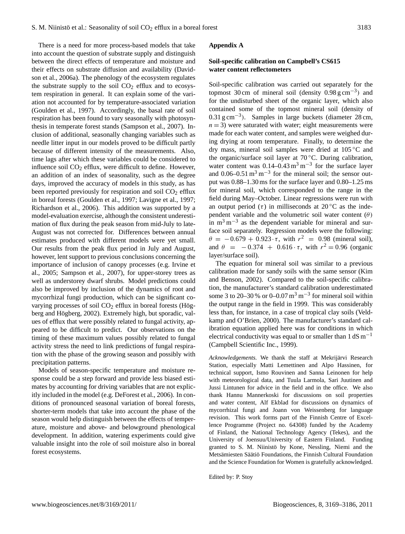There is a need for more process-based models that take into account the question of substrate supply and distinguish between the direct effects of temperature and moisture and their effects on substrate diffusion and availability (Davidson et al., 2006a). The phenology of the ecosystem regulates the substrate supply to the soil  $CO<sub>2</sub>$  efflux and to ecosystem respiration in general. It can explain some of the variation not accounted for by temperature-associated variation (Goulden et al., 1997). Accordingly, the basal rate of soil respiration has been found to vary seasonally with photosynthesis in temperate forest stands (Sampson et al., 2007). Inclusion of additional, seasonally changing variables such as needle litter input in our models proved to be difficult partly because of different intensity of the measurements. Also, time lags after which these variables could be considered to influence soil  $CO<sub>2</sub>$  efflux, were difficult to define. However, an addition of an index of seasonality, such as the degree days, improved the accuracy of models in this study, as has been reported previously for respiration and soil  $CO<sub>2</sub>$  efflux in boreal forests (Goulden et al., 1997; Lavigne et al., 1997; Richardson et al., 2006). This addition was supported by a model-evaluation exercise, although the consistent underestimation of flux during the peak season from mid-July to late-August was not corrected for. Differences between annual estimates produced with different models were yet small. Our results from the peak flux period in July and August, however, lent support to previous conclusions concerning the importance of inclusion of canopy processes (e.g. Irvine et al., 2005; Sampson et al., 2007), for upper-storey trees as well as understorey dwarf shrubs. Model predictions could also be improved by inclusion of the dynamics of root and mycorrhizal fungi production, which can be significant covarying processes of soil  $CO<sub>2</sub>$  efflux in boreal forests (Högberg and Högberg, 2002). Extremely high, but sporadic, values of efflux that were possibly related to fungal activity, appeared to be difficult to predict. Our observations on the timing of these maximum values possibly related to fungal activity stress the need to link predictions of fungal respiration with the phase of the growing season and possibly with precipitation patterns.

Models of season-specific temperature and moisture response could be a step forward and provide less biased estimates by accounting for driving variables that are not explicitly included in the model (e.g. DeForest et al., 2006). In conditions of pronounced seasonal variation of boreal forests, shorter-term models that take into account the phase of the season would help distinguish between the effects of temperature, moisture and above- and belowground phenological development. In addition, watering experiments could give valuable insight into the role of soil moisture also in boreal forest ecosystems.

#### **Appendix A**

## **Soil-specific calibration on Campbell's CS615 water content reflectometers**

Soil-specific calibration was carried out separately for the topmost 30 cm of mineral soil (density  $0.98 \text{ g cm}^{-3}$ ) and for the undisturbed sheet of the organic layer, which also contained some of the topmost mineral soil (density of 0.31 g cm−<sup>3</sup> ). Samples in large buckets (diameter 28 cm,  $n = 3$ ) were saturated with water; eight measurements were made for each water content, and samples were weighed during drying at room temperature. Finally, to determine the dry mass, mineral soil samples were dried at 105 ◦C and the organic/surface soil layer at  $70^{\circ}$ C. During calibration, water content was  $0.14 - 0.43$  m<sup>3</sup> m<sup>-3</sup> for the surface layer and  $0.06-0.51 \text{ m}^3 \text{ m}^{-3}$  for the mineral soil; the sensor output was 0.88–1.30 ms for the surface layer and 0.80–1.25 ms for mineral soil, which corresponded to the range in the field during May–October. Linear regressions were run with an output period (τ) in milliseconds at 20 °C as the independent variable and the volumetric soil water content  $(\theta)$ in  $m<sup>3</sup> m<sup>-3</sup>$  as the dependent variable for mineral and surface soil separately. Regression models were the following:  $\theta = -0.679 + 0.923 \cdot \tau$ , with  $r^2 = 0.98$  (mineral soil), and  $\theta = -0.374 + 0.616 \cdot \tau$ , with  $r^2 = 0.96$  (organic layer/surface soil).

The equation for mineral soil was similar to a previous calibration made for sandy soils with the same sensor (Kim and Benson, 2002). Compared to the soil-specific calibration, the manufacturer's standard calibration underestimated some 3 to 20–30 % or 0–0.07  $\text{m}^3$   $\text{m}^{-3}$  for mineral soil within the output range in the field in 1999. This was considerably less than, for instance, in a case of tropical clay soils (Veldkamp and O'Brien, 2000). The manufacturer's standard calibration equation applied here was for conditions in which electrical conductivity was equal to or smaller than  $1 dS m^{-1}$ (Campbell Scientific Inc., 1999).

*Acknowledgements.* We thank the staff at Mekrijärvi Research Station, especially Matti Lemettinen and Alpo Hassinen, for technical support, Ismo Rouvinen and Sanna Leinonen for help with meteorological data, and Tuula Larmola, Sari Juutinen and Jussi Lintunen for advice in the field and in the office. We also thank Hannu Mannerkoski for discussions on soil properties and water content, Alf Ekblad for discussions on dynamics of mycorrhizal fungi and Joann von Weissenberg for language revision. This work forms part of the Finnish Centre of Excellence Programme (Project no. 64308) funded by the Academy of Finland, the National Technology Agency (Tekes), and the University of Joensuu/University of Eastern Finland. Funding granted to S. M. Niinistö by Kone, Nessling, Niemi and the Metsämiesten Säätiö Foundations, the Finnish Cultural Foundation and the Science Foundation for Women is gratefully acknowledged.

Edited by: P. Stoy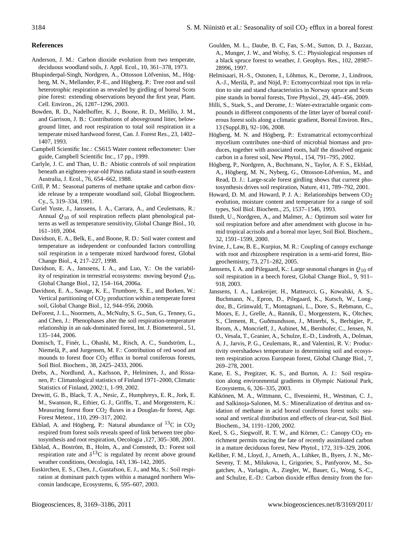# **References**

- Anderson, J. M.: Carbon dioxide evolution from two temperate, deciduous woodland soils, J. Appl. Ecol., 10, 361–378, 1973.
- Bhupinderpal-Singh, Nordgren, A., Ottosson Löfvenius, M., Högberg, M. N., Mellander, P.-E., and Högberg. P.: Tree root and soil heterotrophic respiration as revealed by girdling of boreal Scots pine forest: extending observations beyond the first year, Plant. Cell. Environ., 26, 1287–1296, 2003.
- Bowden, R. D., Nadelhoffer, K. J., Boone, R. D., Melillo, J. M., and Garrison, J. B.: Contributions of aboveground litter, belowground litter, and root respiration to total soil respiration in a temperate mixed hardwood forest, Can. J. Forest Res., 23, 1402– 1407, 1993.
- Campbell Scientific Inc.: CS615 Water content reflectometer: User guide, Campbell Scientific Inc., 17 pp., 1999.
- Carlyle, J. C. and Than, U. B.: Abiotic controls of soil respiration beneath an eighteen-year-old Pinus radiata stand in south-eastern Australia, J. Ecol., 76, 654–662, 1988.
- Crill, P. M.: Seasonal patterns of methane uptake and carbon dioxide release by a temperate woodland soil, Global Biogeochem. Cy., 5, 319–334, 1991.
- Curiel Yuste, J., Janssens, I. A., Carrara, A., and Ceulemans, R.: Annual  $Q_{10}$  of soil respiration reflects plant phenological patterns as well as temperature sensitivity, Global Change Biol., 10, 161–169, 2004.
- Davidson, E. A., Belk, E., and Boone, R. D.: Soil water content and temperature as independent or confounded factors controlling soil respiration in a temperate mixed hardwood forest, Global Change Biol., 4, 217–227, 1998.
- Davidson, E. A., Janssens, I. A., and Luo, Y.: On the variability of respiration in terrestrial ecosystems: moving beyond  $Q_{10}$ , Global Change Biol., 12, 154–164, 2006a.
- Davidson, E. A., Savage, K. E., Trumbore, S. E., and Borken, W.: Vertical partitioning of  $CO<sub>2</sub>$  production within a temperate forest soil, Global Change Biol., 12, 944–956, 2006b.
- DeForest, J. L., Noormets, A., McNulty, S. G., Sun, G., Tenney, G., and Chen, J.: Phenophases alter the soil respiration-temperature relationship in an oak-dominated forest, Int. J. Biometeorol., 51, 135–144, 2006.
- Domisch, T., Finér, L., Ohashi, M., Risch, A. C., Sundström, L., Niemelä, P., and Jurgensen, M. F.: Contribution of red wood ant mounds to forest floor  $CO<sub>2</sub>$  efflux in boreal coniferous forests, Soil Biol. Biochem., 38, 2425–2433, 2006.
- Drebs, A., Nordlund, A., Karlsson, P., Helminen, J., and Rissanen, P.: Climatological statistics of Finland 1971–2000, Climatic Statistics of Finland, 2002:1, 1–99, 2002.
- Drewitt, G. B., Black, T. A., Nesic, Z., Humphreys, E. R., Jork, E. M., Swanson, R., Ethier, G. J., Griffis, T., and Morgenstern, K.: Measuring forest floor CO<sub>2</sub> fluxes in a Douglas-fir forest, Agr. Forest Meteor., 110, 299–317, 2002.
- Ekblad, A. and Högberg, P.: Natural abundance of  ${}^{13}C$  in CO<sub>2</sub> respired from forest soils reveals speed of link between tree photosynthesis and root respiration, Oecologia ,127, 305–308, 2001.
- Ekblad, A., Boström, B., Holm, A., and Comstedt, D.: Forest soil respiration rate and  $\delta^{13}C$  is regulated by recent above ground weather conditions, Oecologia, 143, 136–142, 2005.
- Euskirchen, E. S., Chen, J., Gustafson, E. J., and Ma, S.: Soil respiration at dominant patch types within a managed northern Wisconsin landscape, Ecosystems, 6, 595–607, 2003.
- Goulden, M. L., Daube, B. C, Fan, S.-M., Sutton, D. J., Bazzaz, A., Munger, J. W., and Wofsy, S. C.: Physiological responses of a black spruce forest to weather, J. Geophys. Res., 102, 28987– 28996, 1997.
- Helmisaari, H.-S., Ostonen, I., Lõhmus, K., Derome, J., Lindroos, A.-J., Merilä, P., and Nöjd, P.: Ectomycorrhizal root tips in relation to site and stand characteristics in Norway spruce and Scots pine stands in boreal forests, Tree Physiol., 29, 445–456, 2009.
- Hilli, S., Stark, S., and Derome, J.: Water-extractable organic compounds in different components of the litter layer of boreal coniferous forest soils along a climatic gradient, Boreal Environ. Res., 13 (Suppl.B), 92–106, 2008.
- Högberg, M. N. and Högberg, P.: Extramatrical ectomycorrhizal mycelium contributes one-third of microbial biomass and produces, together with associated roots, half the dissolved organic carbon in a forest soil, New Phytol., 154, 791–795, 2002.
- Högberg, P., Nordgren, A., Buchmann, N., Taylor, A. F. S., Ekblad, A., Högberg, M. N., Nyberg, G., Ottosson-Löfvenius, M., and Read, D. J.: Large-scale forest girdling shows that current photosynthesis drives soil respiration, Nature, 411, 789–792, 2001.
- Howard, D. M. and Howard, P. J. A.: Relationships between  $CO<sub>2</sub>$ evolution, moisture content and temperature for a range of soil types, Soil Biol. Biochem., 25, 1537–1546, 1993.
- Ilstedt, U., Nordgren, A., and Malmer, A.: Optimum soil water for soil respiration before and after amendment with glucose in humid tropical acrisols and a boreal mor layer, Soil Biol. Biochem., 32, 1591–1599, 2000.
- Irvine, J., Law, B. E., Kurpius, M. R.: Coupling of canopy exchange with root and rhizosphere respiration in a semi-arid forest, Biogeochemistry, 73, 271–282, 2005.
- Janssens, I. A. and Pilegaard, K.: Large seasonal changes in  $Q_{10}$  of soil respiration in a beech forest, Global Change Biol., 9, 911– 918, 2003.
- Janssens, I. A., Lankreijer, H., Matteucci, G., Kowalski, A. S., Buchmann, N., Epron, D., Pilegaard, K., Kutsch, W., Longdoz, B., Grünwald, T., Montagnani, L., Dore, S., Rebmann, C., Moors, E. J., Grelle, A., Rannik, Ü., Morgenstern, K., Oltchev, S., Clement, R., Guðmundsson, J., Minerbi, S., Berbigier, P., Ibrom, A., Moncrieff, J., Aubinet, M., Bernhofer, C., Jensen, N. O., Vesala, T., Granier, A., Schulze, E.-D., Lindroth, A., Dolman, A. J., Jarvis, P. G., Ceulemans, R., and Valentini, R. V.: Productivity overshadows temperature in determining soil and ecosystem respiration across European forest, Global Change Biol., 7, 269–278, 2001.
- Kane, E. S., Pregitzer, K. S., and Burton, A. J.: Soil respiration along environmental gradients in Olympic National Park, Ecosystems, 6, 326–335, 2003.
- Kähkönen, M. A., Wittmann, C., Ilvesniemi, H., Westman, C. J., and Salkinoja-Salonen, M. S.: Mineralization of detritus and oxidation of methane in acid boreal coniferous forest soils: seasonal and vertical distribution and effects of clear-cut, Soil Biol. Biochem., 34, 1191–1200, 2002.
- Keel, S. G., Siegwolf, R. T. W., and Körner, C.: Canopy CO<sub>2</sub> enrichment permits tracing the fate of recently assimilated carbon in a mature deciduous forest, New Phytol., 172, 319–329, 2006.
- Kelliher, F. M., Lloyd, J., Arneth, A., Lühker, B., Byers, J. N., Mc-Seveny, T. M., Milukova, I., Grigoriev, S., Panfyorov, M., Sogatchev, A., Varlagin, A., Ziegler, W., Bauer, G., Wong, S.-C., and Schulze, E.-D.: Carbon dioxide efflux density from the for-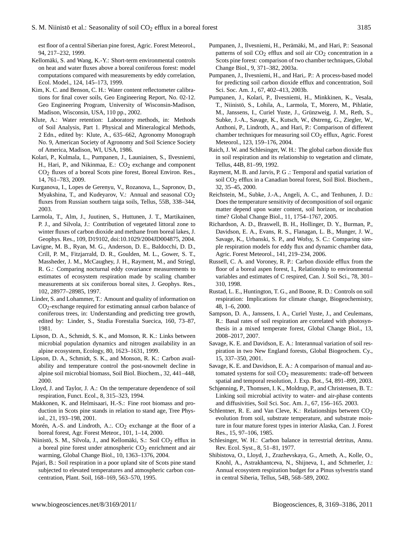est floor of a central Siberian pine forest, Agric. Forest Meteorol., 94, 217–232, 1999.

- Kellomäki, S. and Wang, K.-Y.: Short-term environmental controls on heat and water fluxes above a boreal coniferous forest: model computations compared with measurements by eddy correlation, Ecol. Model., 124, 145–173, 1999.
- Kim, K. C. and Benson, C. H.: Water content reflectometer calibrations for final cover soils, Geo Engineering Report, No. 02-12. Geo Engineering Program, University of Wisconsin-Madison, Madison, Wisconsin, USA, 110 pp., 2002.
- Klute, A.: Water retention: Laboratory methods, in: Methods of Soil Analysis, Part 1. Physical and Mineralogical Methods, 2 Edn., edited by: Klute, A., 635–662, Agronomy Monograph No. 9, American Society of Agronomy and Soil Science Society of America, Madison, WI, USA, 1986.
- Kolari, P., Kulmala, L., Pumpanen, J., Launiainen, S., Ilvesniemi, H., Hari, P., and Nikinmaa, E.: CO<sub>2</sub> exchange and component CO2 fluxes of a boreal Scots pine forest, Boreal Environ. Res., 14, 761–783, 2009.
- Kurganova, I., Lopes de Gerenyu, V., Rozanova, L., Sapronov, D., Myakshina, T., and Kudeyarov, V.: Annual and seasonal CO<sub>2</sub> fluxes from Russian southern taiga soils, Tellus, 55B, 338–344, 2003.
- Larmola, T., Alm, J., Juutinen, S., Huttunen, J. T., Martikainen, P. J., and Silvola, J.: Contribution of vegetated littoral zone to winter fluxes of carbon dioxide and methane from boreal lakes, J. Geophys. Res., 109, D19102, [doi:10.1029/2004JD004875,](http://dx.doi.org/10.1029/2004JD004875) 2004.
- Lavigne, M. B., Ryan, M. G., Anderson, D. E., Baldocchi, D. D., Crill, P. M., Fitzjarrald, D. R., Goulden, M. L., Gower, S. T., Massheder, J. M., McCaughey, J. H., Rayment, M., and Striegl, R. G.: Comparing nocturnal eddy covariance measurements to estimates of ecosystem respiration made by scaling chamber measurements at six coniferous boreal sites, J. Geophys. Res., 102, 28977–28985, 1997.
- Linder, S. and Lohammer, T.: Amount and quality of information on  $CO<sub>2</sub>$ -exchange required for estimating annual carbon balance of coniferous trees, in: Understanding and predicting tree growth, edited by: Linder, S., Studia Forestalia Suecica, 160, 73–87, 1981.
- Lipson, D. A., Schmidt, S. K., and Monson, R. K.: Links between microbial population dynamics and nitrogen availability in an alpine ecosystem, Ecology, 80, 1623–1631, 1999.
- Lipson, D. A., Schmidt, S. K., and Monson, R. K.: Carbon availability and temperature control the post-snowmelt decline in alpine soil microbial biomass, Soil Biol. Biochem., 32, 441–448, 2000.
- Lloyd, J. and Taylor, J. A.: On the temperature dependence of soil respiration, Funct. Ecol., 8, 315–323, 1994.
- Makkonen, K. and Helmisaari, H.-S.: Fine root biomass and production in Scots pine stands in relation to stand age, Tree Physiol., 21, 193–198, 2001.
- Morén, A.-S. and Lindroth, A.:.  $CO<sub>2</sub>$  exchange at the floor of a boreal forest, Agr. Forest Meteor., 101, 1–14, 2000.
- Niinistö, S. M., Silvola, J., and Kellomäki, S.: Soil CO<sub>2</sub> efflux in a boreal pine forest under atmospheric  $CO<sub>2</sub>$  enrichment and air warming, Global Change Biol., 10, 1363–1376, 2004.
- Pajari, B.: Soil respiration in a poor upland site of Scots pine stand subjected to elevated temperatures and atmospheric carbon concentration, Plant. Soil, 168–169, 563–570, 1995.
- Pumpanen, J., Ilvesniemi, H., Perämäki, M., and Hari, P.: Seasonal patterns of soil  $CO<sub>2</sub>$  efflux and soil air  $CO<sub>2</sub>$  concentration in a Scots pine forest: comparison of two chamber techniques, Global Change Biol., 9, 371–382, 2003a.
- Pumpanen, J., Ilvesniemi, H., and Hari,. P.: A process-based model for predicting soil carbon dioxide efflux and concentration, Soil Sci. Soc. Am. J., 67, 402–413, 2003b.
- Pumpanen, J., Kolari, P., Ilvesniemi, H., Minkkinen, K., Vesala, T., Niinistö, S., Lohila, A., Larmola, T., Morero, M., Pihlatie, M., Janssens, I., Curiel Yuste, J., Grünzweig, J. M., Reth, S., Subke, J.-A., Savage, K., Kutsch, W., Østreng, G., Ziegler, W., Anthoni, P., Lindroth, A., and Hari, P.: Comparison of different chamber techniques for measuring soil  $CO<sub>2</sub>$  efflux, Agric. Forest Meteorol., 123, 159–176, 2004.
- Raich, J. W. and Schlesinger, W. H.: The global carbon dioxide flux in soil respiration and its relationship to vegetation and climate, Tellus, 44B, 81–99, 1992.
- Rayment, M. B. and Jarvis, P. G .: Temporal and spatial variation of soil  $CO<sub>2</sub>$  efflux in a Canadian boreal forest, Soil Biol. Biochem., 32, 35–45, 2000.
- Reichstein, M., Subke, J.-A., Angeli, A. C., and Tenhunen, J. D.: Does the temperature sensitivity of decomposition of soil organic matter depend upon water content, soil horizon, or incubation time? Global Change Biol., 11, 1754–1767, 2005.
- Richardson, A. D., Braswell, B. H., Hollinger, D. Y., Burman, P., Davidson, E. A., Evans, R. S., Flanagan, L. B., Munger, J. W., Savage, K., Urbanski, S. P., and Wofsy, S. C.: Comparing simple respiration models for eddy flux and dynamic chamber data, Agric. Forest Meteorol., 141, 219–234, 2006.
- Russell, C. A. and Voroney, R. P.: Carbon dioxide efflux from the floor of a boreal aspen forest, I., Relationship to environmental variables and estimates of C respired, Can. J. Soil Sci., 78, 301– 310, 1998.
- Rustad, L. E., Huntington, T. G., and Boone, R. D.: Controls on soil respiration: Implications for climate change, Biogeochemistry, 48, 1–6, 2000.
- Sampson, D. A., Janssens, I. A., Curiel Yuste, J., and Ceulemans, R.: Basal rates of soil respiration are correlated with photosynthesis in a mixed temperate forest, Global Change Biol., 13, 2008–2017, 2007.
- Savage, K. E. and Davidson, E. A.: Interannual variation of soil respiration in two New England forests, Global Biogeochem. Cy., 15, 337–350, 2001.
- Savage, K. E. and Davidson, E. A.: A comparison of manual and automated systems for soil  $CO<sub>2</sub>$  measurements: trade-off between spatial and temporal resolution, J. Exp. Bot., 54, 891–899, 2003.
- Schjønning, P., Thomsen, I. K., Moldrup, P., and Christensen, B. T.: Linking soil microbial activity to water- and air-phase contents and diffusivities, Soil Sci. Soc. Am. J., 67, 156–165. 2003.
- Schlentner, R. E. and Van Cleve, K.: Relationships between  $CO<sub>2</sub>$ evolution from soil, substrate temperature, and substrate moisture in four mature forest types in interior Alaska, Can. J. Forest Res., 15, 97–106, 1985.
- Schlesinger, W. H.: Carbon balance in terrestrial detritus, Annu. Rev. Ecol. Syst., 8, 51–81, 1977.
- Shibistova, O., Lloyd, J., Zrazhevskaya, G., Arneth, A., Kolle, O., Knohl, A., Astrakhantceva, N., Shijneva, I., and Schmerler, J.: Annual ecosystem respiration budget for a Pinus sylvestris stand in central Siberia, Tellus, 54B, 568–589, 2002.